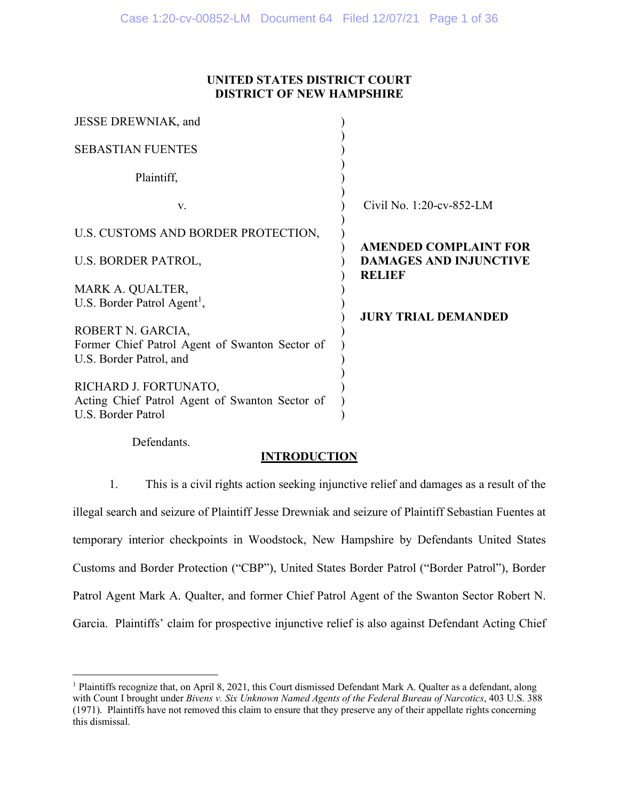## **UNITED STATES DISTRICT COURT DISTRICT OF NEW HAMPSHIRE**

| JESSE DREWNIAK, and                                                                            |                                                                                |
|------------------------------------------------------------------------------------------------|--------------------------------------------------------------------------------|
| <b>SEBASTIAN FUENTES</b>                                                                       |                                                                                |
| Plaintiff,                                                                                     |                                                                                |
| V.                                                                                             | Civil No. 1:20-cv-852-LM                                                       |
| U.S. CUSTOMS AND BORDER PROTECTION,                                                            |                                                                                |
| U.S. BORDER PATROL,                                                                            | <b>AMENDED COMPLAINT FOR</b><br><b>DAMAGES AND INJUNCTIVE</b><br><b>RELIEF</b> |
| MARK A. QUALTER,                                                                               |                                                                                |
| U.S. Border Patrol Agent <sup>1</sup> ,                                                        |                                                                                |
| ROBERT N. GARCIA,<br>Former Chief Patrol Agent of Swanton Sector of<br>U.S. Border Patrol, and | <b>JURY TRIAL DEMANDED</b>                                                     |
| RICHARD J. FORTUNATO,<br>Acting Chief Patrol Agent of Swanton Sector of<br>U.S. Border Patrol  |                                                                                |

Defendants.

# **INTRODUCTION**

1. This is a civil rights action seeking injunctive relief and damages as a result of the illegal search and seizure of Plaintiff Jesse Drewniak and seizure of Plaintiff Sebastian Fuentes at temporary interior checkpoints in Woodstock, New Hampshire by Defendants United States Customs and Border Protection ("CBP"), United States Border Patrol ("Border Patrol"), Border Patrol Agent Mark A. Qualter, and former Chief Patrol Agent of the Swanton Sector Robert N. Garcia. Plaintiffs' claim for prospective injunctive relief is also against Defendant Acting Chief

<span id="page-0-0"></span><sup>&</sup>lt;sup>1</sup> Plaintiffs recognize that, on April 8, 2021, this Court dismissed Defendant Mark A. Qualter as a defendant, along with Count I brought under *Bivens v. Six Unknown Named Agents of the Federal Bureau of Narcotics*, 403 U.S. 388 (1971). Plaintiffs have not removed this claim to ensure that they preserve any of their appellate rights concerning this dismissal.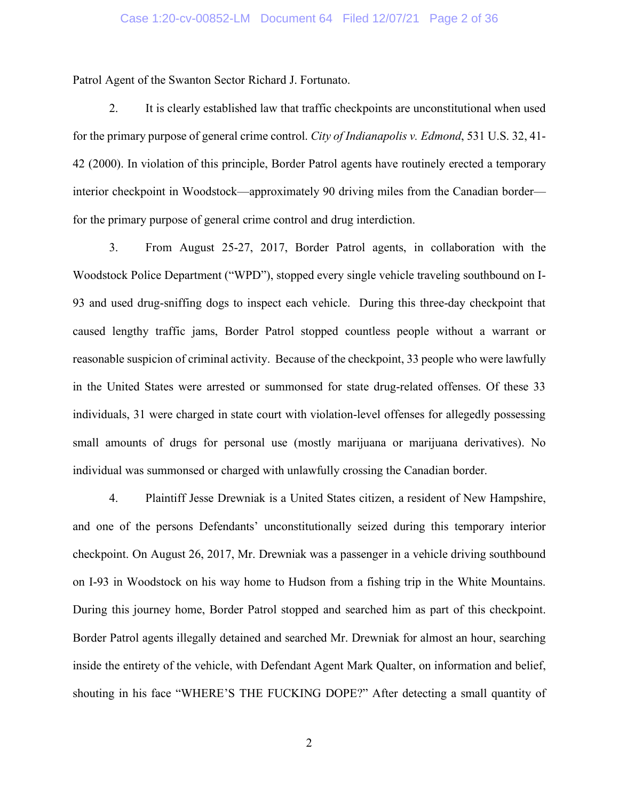#### Case 1:20-cv-00852-LM Document 64 Filed 12/07/21 Page 2 of 36

Patrol Agent of the Swanton Sector Richard J. Fortunato.

2. It is clearly established law that traffic checkpoints are unconstitutional when used for the primary purpose of general crime control. *City of Indianapolis v. Edmond*, 531 U.S. 32, 41- 42 (2000). In violation of this principle, Border Patrol agents have routinely erected a temporary interior checkpoint in Woodstock—approximately 90 driving miles from the Canadian border for the primary purpose of general crime control and drug interdiction.

3. From August 25-27, 2017, Border Patrol agents, in collaboration with the Woodstock Police Department ("WPD"), stopped every single vehicle traveling southbound on I-93 and used drug-sniffing dogs to inspect each vehicle. During this three-day checkpoint that caused lengthy traffic jams, Border Patrol stopped countless people without a warrant or reasonable suspicion of criminal activity. Because of the checkpoint, 33 people who were lawfully in the United States were arrested or summonsed for state drug-related offenses. Of these 33 individuals, 31 were charged in state court with violation-level offenses for allegedly possessing small amounts of drugs for personal use (mostly marijuana or marijuana derivatives). No individual was summonsed or charged with unlawfully crossing the Canadian border.

4. Plaintiff Jesse Drewniak is a United States citizen, a resident of New Hampshire, and one of the persons Defendants' unconstitutionally seized during this temporary interior checkpoint. On August 26, 2017, Mr. Drewniak was a passenger in a vehicle driving southbound on I-93 in Woodstock on his way home to Hudson from a fishing trip in the White Mountains. During this journey home, Border Patrol stopped and searched him as part of this checkpoint. Border Patrol agents illegally detained and searched Mr. Drewniak for almost an hour, searching inside the entirety of the vehicle, with Defendant Agent Mark Qualter, on information and belief, shouting in his face "WHERE'S THE FUCKING DOPE?" After detecting a small quantity of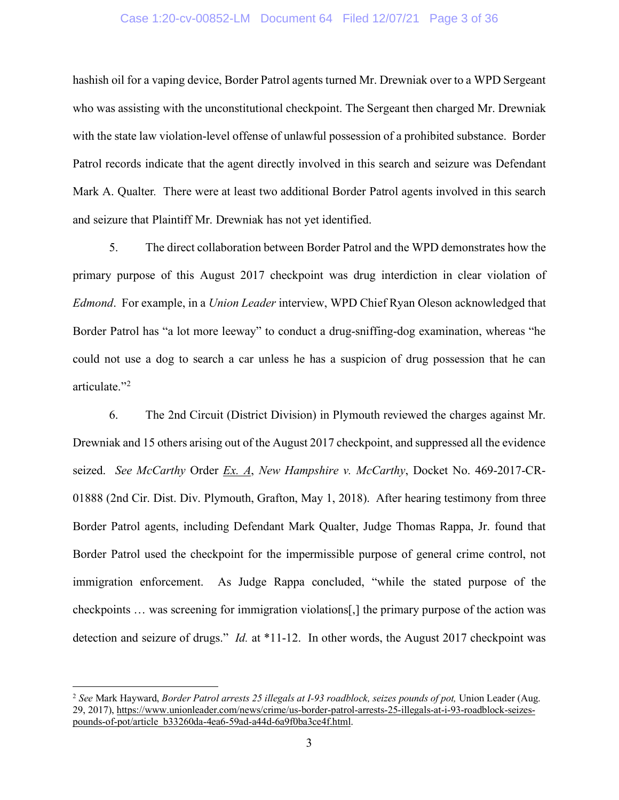#### Case 1:20-cv-00852-LM Document 64 Filed 12/07/21 Page 3 of 36

hashish oil for a vaping device, Border Patrol agents turned Mr. Drewniak over to a WPD Sergeant who was assisting with the unconstitutional checkpoint. The Sergeant then charged Mr. Drewniak with the state law violation-level offense of unlawful possession of a prohibited substance. Border Patrol records indicate that the agent directly involved in this search and seizure was Defendant Mark A. Qualter*.* There were at least two additional Border Patrol agents involved in this search and seizure that Plaintiff Mr. Drewniak has not yet identified.

5. The direct collaboration between Border Patrol and the WPD demonstrates how the primary purpose of this August 2017 checkpoint was drug interdiction in clear violation of *Edmond*. For example, in a *Union Leader* interview, WPD Chief Ryan Oleson acknowledged that Border Patrol has "a lot more leeway" to conduct a drug-sniffing-dog examination, whereas "he could not use a dog to search a car unless he has a suspicion of drug possession that he can articulate."<sup>[2](#page-2-0)</sup>

6. The 2nd Circuit (District Division) in Plymouth reviewed the charges against Mr. Drewniak and 15 others arising out of the August 2017 checkpoint, and suppressed all the evidence seized. *See McCarthy* Order *Ex. A*, *New Hampshire v. McCarthy*, Docket No. 469-2017-CR-01888 (2nd Cir. Dist. Div. Plymouth, Grafton, May 1, 2018). After hearing testimony from three Border Patrol agents, including Defendant Mark Qualter, Judge Thomas Rappa, Jr. found that Border Patrol used the checkpoint for the impermissible purpose of general crime control, not immigration enforcement. As Judge Rappa concluded, "while the stated purpose of the checkpoints … was screening for immigration violations[,] the primary purpose of the action was detection and seizure of drugs." *Id.* at \*11-12. In other words, the August 2017 checkpoint was

<span id="page-2-0"></span><sup>2</sup> *See* Mark Hayward, *Border Patrol arrests 25 illegals at I-93 roadblock, seizes pounds of pot,* Union Leader (Aug. 29, 2017), [https://www.unionleader.com/news/crime/us-border-patrol-arrests-25-illegals-at-i-93-roadblock-seizes](https://www.unionleader.com/news/crime/us-border-patrol-arrests-25-illegals-at-i-93-roadblock-seizes-pounds-of-pot/article_b33260da-4ea6-59ad-a44d-6a9f0ba3ce4f.html)[pounds-of-pot/article\\_b33260da-4ea6-59ad-a44d-6a9f0ba3ce4f.html.](https://www.unionleader.com/news/crime/us-border-patrol-arrests-25-illegals-at-i-93-roadblock-seizes-pounds-of-pot/article_b33260da-4ea6-59ad-a44d-6a9f0ba3ce4f.html)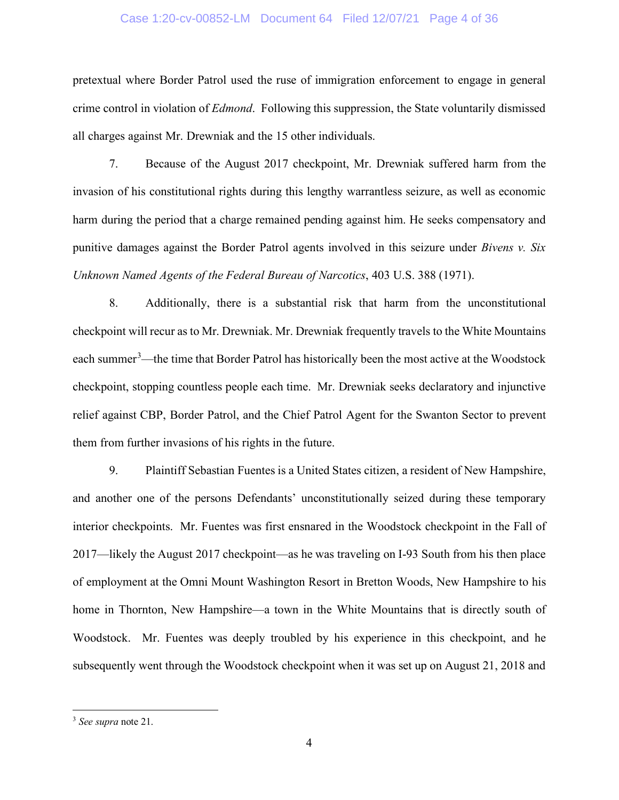#### Case 1:20-cv-00852-LM Document 64 Filed 12/07/21 Page 4 of 36

pretextual where Border Patrol used the ruse of immigration enforcement to engage in general crime control in violation of *Edmond*. Following this suppression, the State voluntarily dismissed all charges against Mr. Drewniak and the 15 other individuals.

7. Because of the August 2017 checkpoint, Mr. Drewniak suffered harm from the invasion of his constitutional rights during this lengthy warrantless seizure, as well as economic harm during the period that a charge remained pending against him. He seeks compensatory and punitive damages against the Border Patrol agents involved in this seizure under *Bivens v. Six Unknown Named Agents of the Federal Bureau of Narcotics*, 403 U.S. 388 (1971).

8. Additionally, there is a substantial risk that harm from the unconstitutional checkpoint will recur as to Mr. Drewniak. Mr. Drewniak frequently travels to the White Mountains each summer<sup>[3](#page-3-0)</sup>—the time that Border Patrol has historically been the most active at the Woodstock checkpoint, stopping countless people each time. Mr. Drewniak seeks declaratory and injunctive relief against CBP, Border Patrol, and the Chief Patrol Agent for the Swanton Sector to prevent them from further invasions of his rights in the future.

9. Plaintiff Sebastian Fuentes is a United States citizen, a resident of New Hampshire, and another one of the persons Defendants' unconstitutionally seized during these temporary interior checkpoints. Mr. Fuentes was first ensnared in the Woodstock checkpoint in the Fall of 2017—likely the August 2017 checkpoint—as he was traveling on I-93 South from his then place of employment at the Omni Mount Washington Resort in Bretton Woods, New Hampshire to his home in Thornton, New Hampshire—a town in the White Mountains that is directly south of Woodstock. Mr. Fuentes was deeply troubled by his experience in this checkpoint, and he subsequently went through the Woodstock checkpoint when it was set up on August 21, 2018 and

<span id="page-3-0"></span><sup>3</sup> *See supra* note 21.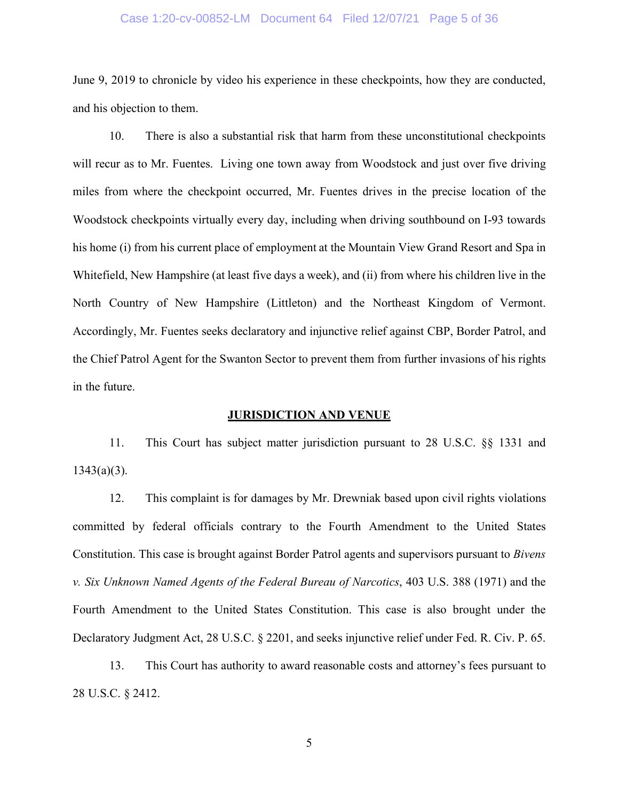#### Case 1:20-cv-00852-LM Document 64 Filed 12/07/21 Page 5 of 36

June 9, 2019 to chronicle by video his experience in these checkpoints, how they are conducted, and his objection to them.

10. There is also a substantial risk that harm from these unconstitutional checkpoints will recur as to Mr. Fuentes. Living one town away from Woodstock and just over five driving miles from where the checkpoint occurred, Mr. Fuentes drives in the precise location of the Woodstock checkpoints virtually every day, including when driving southbound on I-93 towards his home (i) from his current place of employment at the Mountain View Grand Resort and Spa in Whitefield, New Hampshire (at least five days a week), and (ii) from where his children live in the North Country of New Hampshire (Littleton) and the Northeast Kingdom of Vermont. Accordingly, Mr. Fuentes seeks declaratory and injunctive relief against CBP, Border Patrol, and the Chief Patrol Agent for the Swanton Sector to prevent them from further invasions of his rights in the future.

#### **JURISDICTION AND VENUE**

11. This Court has subject matter jurisdiction pursuant to 28 U.S.C. §§ 1331 and  $1343(a)(3)$ .

12. This complaint is for damages by Mr. Drewniak based upon civil rights violations committed by federal officials contrary to the Fourth Amendment to the United States Constitution. This case is brought against Border Patrol agents and supervisors pursuant to *Bivens v. Six Unknown Named Agents of the Federal Bureau of Narcotics*, 403 U.S. 388 (1971) and the Fourth Amendment to the United States Constitution. This case is also brought under the Declaratory Judgment Act, 28 U.S.C. § 2201, and seeks injunctive relief under Fed. R. Civ. P. 65.

13. This Court has authority to award reasonable costs and attorney's fees pursuant to 28 U.S.C. § 2412.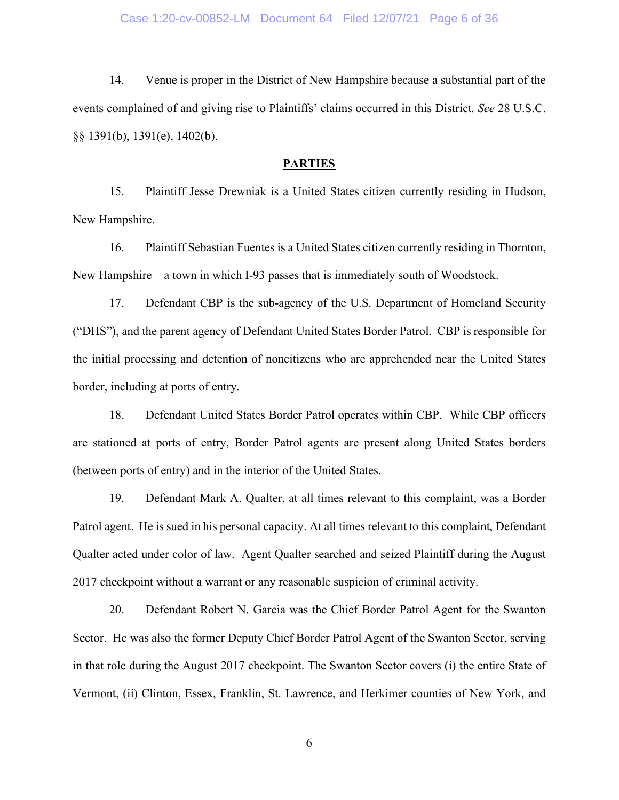14. Venue is proper in the District of New Hampshire because a substantial part of the events complained of and giving rise to Plaintiffs' claims occurred in this District. *See* 28 U.S.C. §§ 1391(b), 1391(e), 1402(b).

#### **PARTIES**

15. Plaintiff Jesse Drewniak is a United States citizen currently residing in Hudson, New Hampshire.

16. Plaintiff Sebastian Fuentes is a United States citizen currently residing in Thornton, New Hampshire—a town in which I-93 passes that is immediately south of Woodstock.

17. Defendant CBP is the sub-agency of the U.S. Department of Homeland Security ("DHS"), and the parent agency of Defendant United States Border Patrol. CBP is responsible for the initial processing and detention of noncitizens who are apprehended near the United States border, including at ports of entry.

18. Defendant United States Border Patrol operates within CBP. While CBP officers are stationed at ports of entry, Border Patrol agents are present along United States borders (between ports of entry) and in the interior of the United States.

19. Defendant Mark A. Qualter, at all times relevant to this complaint, was a Border Patrol agent. He is sued in his personal capacity. At all times relevant to this complaint, Defendant Qualter acted under color of law. Agent Qualter searched and seized Plaintiff during the August 2017 checkpoint without a warrant or any reasonable suspicion of criminal activity.

20. Defendant Robert N. Garcia was the Chief Border Patrol Agent for the Swanton Sector. He was also the former Deputy Chief Border Patrol Agent of the Swanton Sector, serving in that role during the August 2017 checkpoint. The Swanton Sector covers (i) the entire State of Vermont, (ii) Clinton, Essex, Franklin, St. Lawrence, and Herkimer counties of New York, and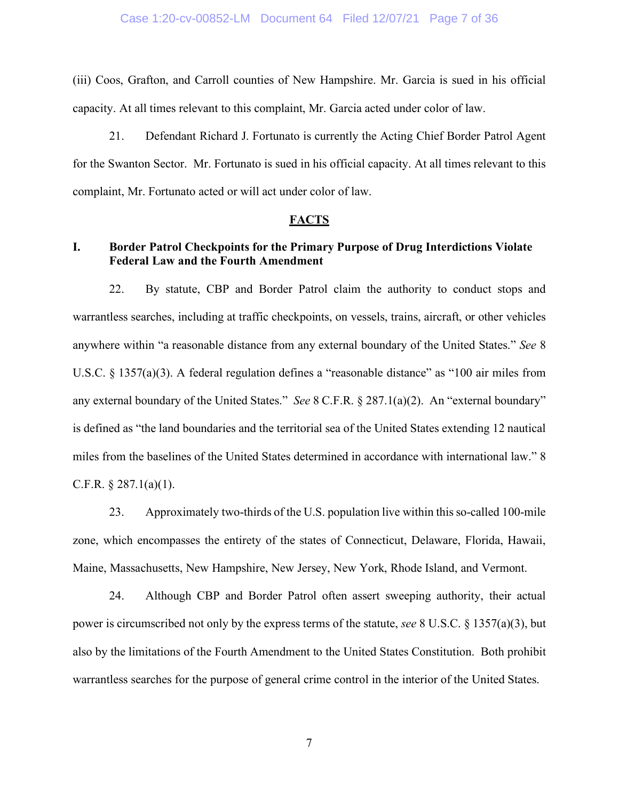(iii) Coos, Grafton, and Carroll counties of New Hampshire. Mr. Garcia is sued in his official capacity. At all times relevant to this complaint, Mr. Garcia acted under color of law.

21. Defendant Richard J. Fortunato is currently the Acting Chief Border Patrol Agent for the Swanton Sector. Mr. Fortunato is sued in his official capacity. At all times relevant to this complaint, Mr. Fortunato acted or will act under color of law.

#### **FACTS**

## **I. Border Patrol Checkpoints for the Primary Purpose of Drug Interdictions Violate Federal Law and the Fourth Amendment**

22. By statute, CBP and Border Patrol claim the authority to conduct stops and warrantless searches, including at traffic checkpoints, on vessels, trains, aircraft, or other vehicles anywhere within "a reasonable distance from any external boundary of the United States." *See* 8 U.S.C. § 1357(a)(3). A federal regulation defines a "reasonable distance" as "100 air miles from any external boundary of the United States." *See* 8 C.F.R. § 287.1(a)(2). An "external boundary" is defined as "the land boundaries and the territorial sea of the United States extending 12 nautical miles from the baselines of the United States determined in accordance with international law." 8 C.F.R.  $\S$  287.1(a)(1).

23. Approximately two-thirds of the U.S. population live within this so-called 100-mile zone, which encompasses the entirety of the states of Connecticut, Delaware, Florida, Hawaii, Maine, Massachusetts, New Hampshire, New Jersey, New York, Rhode Island, and Vermont.

24. Although CBP and Border Patrol often assert sweeping authority, their actual power is circumscribed not only by the express terms of the statute, *see* 8 U.S.C. § 1357(a)(3), but also by the limitations of the Fourth Amendment to the United States Constitution. Both prohibit warrantless searches for the purpose of general crime control in the interior of the United States.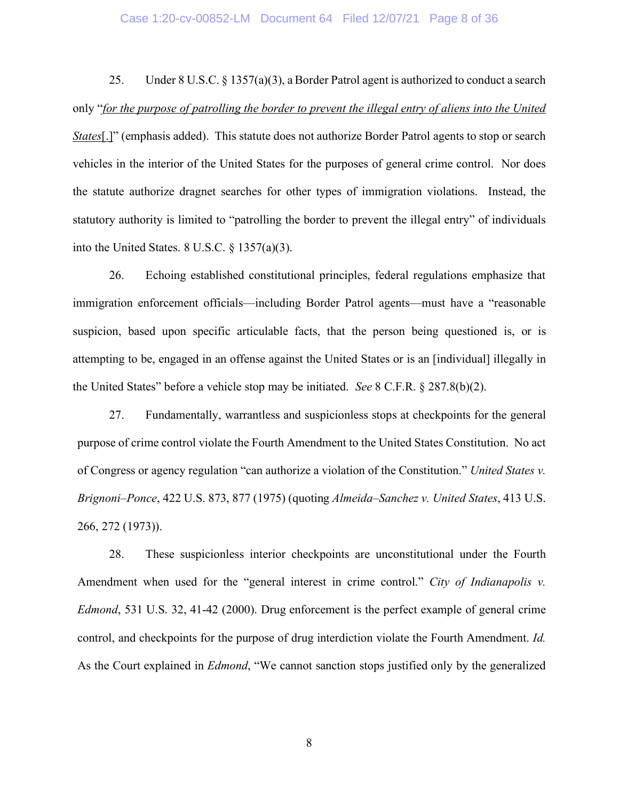### Case 1:20-cv-00852-LM Document 64 Filed 12/07/21 Page 8 of 36

25. Under 8 U.S.C. § 1357(a)(3), a Border Patrol agent is authorized to conduct a search only "*for the purpose of patrolling the border to prevent the illegal entry of aliens into the United States*[.]" (emphasis added). This statute does not authorize Border Patrol agents to stop or search vehicles in the interior of the United States for the purposes of general crime control. Nor does the statute authorize dragnet searches for other types of immigration violations. Instead, the statutory authority is limited to "patrolling the border to prevent the illegal entry" of individuals into the United States.  $8$  U.S.C.  $\frac{6}{7}$  1357(a)(3).

26. Echoing established constitutional principles, federal regulations emphasize that immigration enforcement officials—including Border Patrol agents—must have a "reasonable suspicion, based upon specific articulable facts, that the person being questioned is, or is attempting to be, engaged in an offense against the United States or is an [individual] illegally in the United States" before a vehicle stop may be initiated. *See* 8 C.F.R. § 287.8(b)(2).

27. Fundamentally, warrantless and suspicionless stops at checkpoints for the general purpose of crime control violate the Fourth Amendment to the United States Constitution. No act of Congress or agency regulation "can authorize a violation of the Constitution." *United States v. Brignoni–Ponce*, 422 U.S. 873, 877 (1975) (quoting *Almeida–Sanchez v. United States*, 413 U.S. 266, 272 (1973)).

28. These suspicionless interior checkpoints are unconstitutional under the Fourth Amendment when used for the "general interest in crime control." *City of Indianapolis v. Edmond*, 531 U.S. 32, 41-42 (2000). Drug enforcement is the perfect example of general crime control, and checkpoints for the purpose of drug interdiction violate the Fourth Amendment. *Id.* As the Court explained in *Edmond*, "We cannot sanction stops justified only by the generalized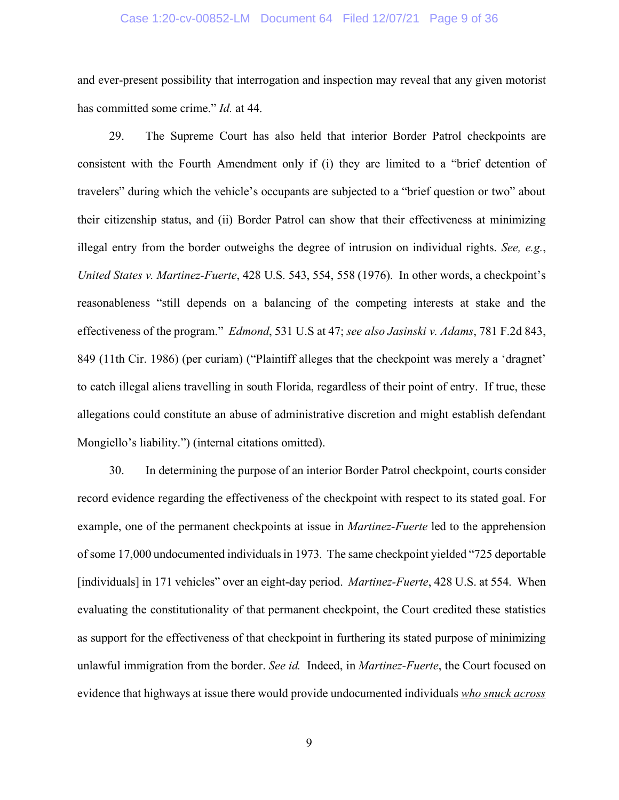#### Case 1:20-cv-00852-LM Document 64 Filed 12/07/21 Page 9 of 36

and ever-present possibility that interrogation and inspection may reveal that any given motorist has committed some crime." *Id.* at 44.

29. The Supreme Court has also held that interior Border Patrol checkpoints are consistent with the Fourth Amendment only if (i) they are limited to a "brief detention of travelers" during which the vehicle's occupants are subjected to a "brief question or two" about their citizenship status, and (ii) Border Patrol can show that their effectiveness at minimizing illegal entry from the border outweighs the degree of intrusion on individual rights. *See, e.g.*, *United States v. Martinez-Fuerte*, 428 U.S. 543, 554, 558 (1976). In other words, a checkpoint's reasonableness "still depends on a balancing of the competing interests at stake and the effectiveness of the program." *Edmond*, 531 U.S at 47; *see also Jasinski v. Adams*, 781 F.2d 843, 849 (11th Cir. 1986) (per curiam) ("Plaintiff alleges that the checkpoint was merely a 'dragnet' to catch illegal aliens travelling in south Florida, regardless of their point of entry. If true, these allegations could constitute an abuse of administrative discretion and might establish defendant Mongiello's liability.") (internal citations omitted).

30. In determining the purpose of an interior Border Patrol checkpoint, courts consider record evidence regarding the effectiveness of the checkpoint with respect to its stated goal. For example, one of the permanent checkpoints at issue in *Martinez-Fuerte* led to the apprehension of some 17,000 undocumented individuals in 1973. The same checkpoint yielded "725 deportable [individuals] in 171 vehicles" over an eight-day period. *Martinez-Fuerte*, 428 U.S. at 554. When evaluating the constitutionality of that permanent checkpoint, the Court credited these statistics as support for the effectiveness of that checkpoint in furthering its stated purpose of minimizing unlawful immigration from the border. *See id.* Indeed, in *Martinez-Fuerte*, the Court focused on evidence that highways at issue there would provide undocumented individuals *who snuck across*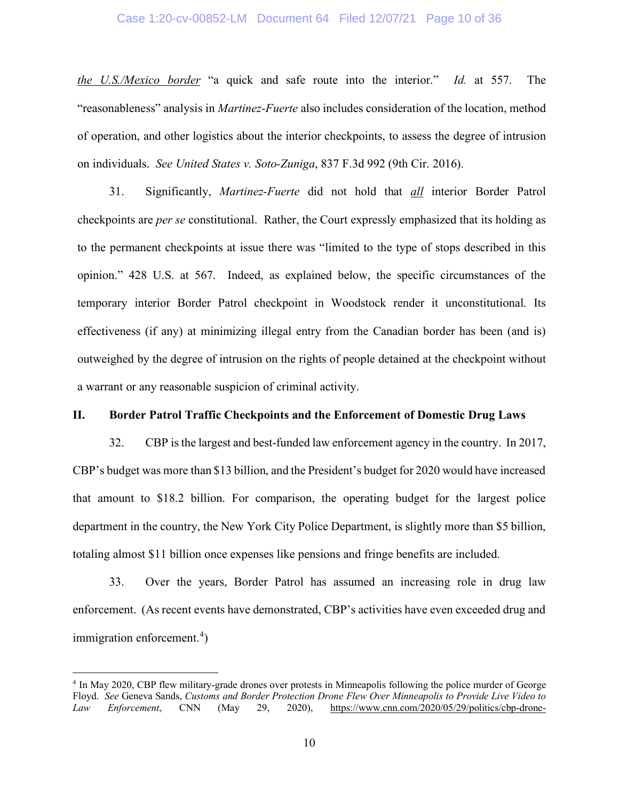### Case 1:20-cv-00852-LM Document 64 Filed 12/07/21 Page 10 of 36

*the U.S./Mexico border* "a quick and safe route into the interior." *Id.* at 557. The "reasonableness" analysis in *Martinez-Fuerte* also includes consideration of the location, method of operation, and other logistics about the interior checkpoints, to assess the degree of intrusion on individuals. *See United States v. Soto-Zuniga*, 837 F.3d 992 (9th Cir. 2016).

31. Significantly, *Martinez-Fuerte* did not hold that *all* interior Border Patrol checkpoints are *per se* constitutional. Rather, the Court expressly emphasized that its holding as to the permanent checkpoints at issue there was "limited to the type of stops described in this opinion." 428 U.S. at 567. Indeed, as explained below, the specific circumstances of the temporary interior Border Patrol checkpoint in Woodstock render it unconstitutional. Its effectiveness (if any) at minimizing illegal entry from the Canadian border has been (and is) outweighed by the degree of intrusion on the rights of people detained at the checkpoint without a warrant or any reasonable suspicion of criminal activity.

### **II. Border Patrol Traffic Checkpoints and the Enforcement of Domestic Drug Laws**

32. CBP is the largest and best-funded law enforcement agency in the country. In 2017, CBP's budget was more than \$13 billion, and the President's budget for 2020 would have increased that amount to \$18.2 billion. For comparison, the operating budget for the largest police department in the country, the New York City Police Department, is slightly more than \$5 billion, totaling almost \$11 billion once expenses like pensions and fringe benefits are included.

33. Over the years, Border Patrol has assumed an increasing role in drug law enforcement. (As recent events have demonstrated, CBP's activities have even exceeded drug and immigration enforcement.<sup>[4](#page-9-0)</sup>)

<span id="page-9-0"></span><sup>4</sup> In May 2020, CBP flew military-grade drones over protests in Minneapolis following the police murder of George Floyd. *See* Geneva Sands, *Customs and Border Protection Drone Flew Over Minneapolis to Provide Live Video to Law Enforcement*, CNN (May 29, 2020), [https://www.cnn.com/2020/05/29/politics/cbp-drone-](https://www.cnn.com/2020/05/29/politics/cbp-drone-minneapolis/index.html)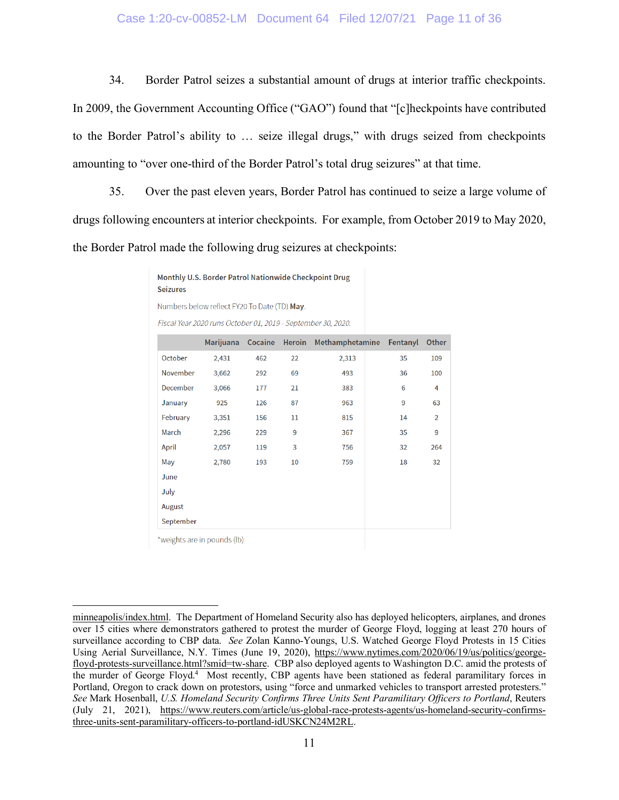### Case 1:20-cv-00852-LM Document 64 Filed 12/07/21 Page 11 of 36

34. Border Patrol seizes a substantial amount of drugs at interior traffic checkpoints. In 2009, the Government Accounting Office ("GAO") found that "[c]heckpoints have contributed to the Border Patrol's ability to … seize illegal drugs," with drugs seized from checkpoints amounting to "over one-third of the Border Patrol's total drug seizures" at that time.

35. Over the past eleven years, Border Patrol has continued to seize a large volume of drugs following encounters at interior checkpoints. For example, from October 2019 to May 2020, the Border Patrol made the following drug seizures at checkpoints:

> Monthly U.S. Border Patrol Nationwide Checkpoint Drug **Seizures** Numbers below reflect FY20 To Date (TD) May.

> Fiscal Year 2020 runs October 01, 2019 - September 30, 2020.

|                 | Marijuana | Cocaine | <b>Heroin</b> | Methamphetamine Fentanyl |    | Other          |
|-----------------|-----------|---------|---------------|--------------------------|----|----------------|
| October         | 2,431     | 462     | 22            | 2,313                    | 35 | 109            |
| November        | 3,662     | 292     | 69            | 493                      | 36 | 100            |
| <b>December</b> | 3,066     | 177     | 21            | 383                      | 6  | 4              |
| January         | 925       | 126     | 87            | 963                      | 9  | 63             |
| February        | 3,351     | 156     | $11\,$        | 815                      | 14 | $\overline{2}$ |
| March           | 2,296     | 229     | 9             | 367                      | 35 | 9              |
| April           | 2,057     | 119     | 3             | 756                      | 32 | 264            |
| May             | 2,780     | 193     | 10            | 759                      | 18 | 32             |
| June            |           |         |               |                          |    |                |
| July            |           |         |               |                          |    |                |
| August          |           |         |               |                          |    |                |
| September       |           |         |               |                          |    |                |

\*weights are in pounds (lb)

[minneapolis/index.html.](https://www.cnn.com/2020/05/29/politics/cbp-drone-minneapolis/index.html) The Department of Homeland Security also has deployed helicopters, airplanes, and drones over 15 cities where demonstrators gathered to protest the murder of George Floyd, logging at least 270 hours of surveillance according to CBP data. *See* Zolan Kanno-Youngs, U.S. Watched George Floyd Protests in 15 Cities Using Aerial Surveillance, N.Y. Times (June 19, 2020), [https://www.nytimes.com/2020/06/19/us/politics/george](https://www.nytimes.com/2020/06/19/us/politics/george-floyd-protests-surveillance.html?smid=tw-share)[floyd-protests-surveillance.html?smid=tw-share.](https://www.nytimes.com/2020/06/19/us/politics/george-floyd-protests-surveillance.html?smid=tw-share) CBP also deployed agents to Washington D.C. amid the protests of the murder of George Floyd.<sup>4</sup> Most recently, CBP agents have been stationed as federal paramilitary forces in Portland, Oregon to crack down on protestors, using "force and unmarked vehicles to transport arrested protesters." *See* Mark Hosenball, *U.S. Homeland Security Confirms Three Units Sent Paramilitary Officers to Portland*, Reuters (July 21, 2021), [https://www.reuters.com/article/us-global-race-protests-agents/us-homeland-security-confirms](https://www.reuters.com/article/us-global-race-protests-agents/us-homeland-security-confirms-three-units-sent-paramilitary-officers-to-portland-idUSKCN24M2RL)[three-units-sent-paramilitary-officers-to-portland-idUSKCN24M2RL.](https://www.reuters.com/article/us-global-race-protests-agents/us-homeland-security-confirms-three-units-sent-paramilitary-officers-to-portland-idUSKCN24M2RL)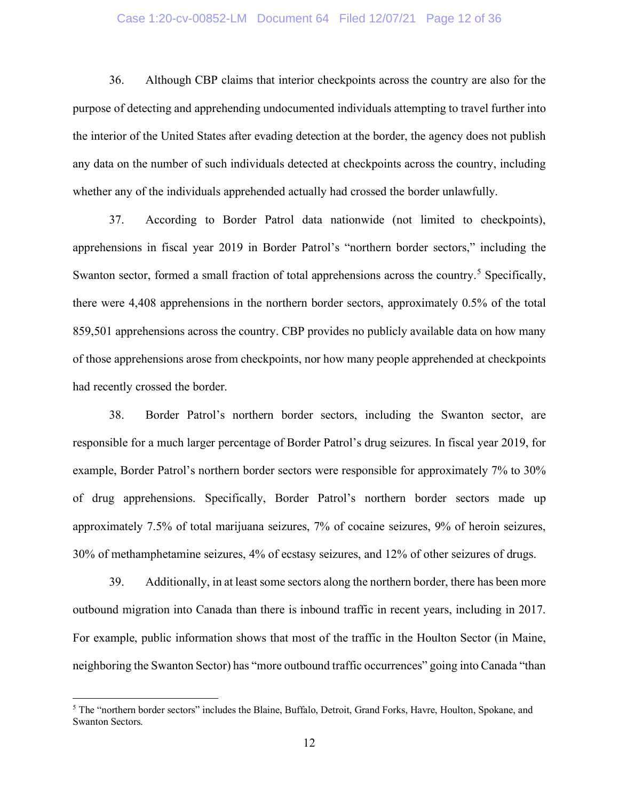### Case 1:20-cv-00852-LM Document 64 Filed 12/07/21 Page 12 of 36

36. Although CBP claims that interior checkpoints across the country are also for the purpose of detecting and apprehending undocumented individuals attempting to travel further into the interior of the United States after evading detection at the border, the agency does not publish any data on the number of such individuals detected at checkpoints across the country, including whether any of the individuals apprehended actually had crossed the border unlawfully.

37. According to Border Patrol data nationwide (not limited to checkpoints), apprehensions in fiscal year 2019 in Border Patrol's "northern border sectors," including the Swanton sector, formed a small fraction of total apprehensions across the country.<sup>[5](#page-11-0)</sup> Specifically, there were 4,408 apprehensions in the northern border sectors, approximately 0.5% of the total 859,501 apprehensions across the country. CBP provides no publicly available data on how many of those apprehensions arose from checkpoints, nor how many people apprehended at checkpoints had recently crossed the border.

38. Border Patrol's northern border sectors, including the Swanton sector, are responsible for a much larger percentage of Border Patrol's drug seizures. In fiscal year 2019, for example, Border Patrol's northern border sectors were responsible for approximately 7% to 30% of drug apprehensions. Specifically, Border Patrol's northern border sectors made up approximately 7.5% of total marijuana seizures, 7% of cocaine seizures, 9% of heroin seizures, 30% of methamphetamine seizures, 4% of ecstasy seizures, and 12% of other seizures of drugs.

39. Additionally, in at least some sectors along the northern border, there has been more outbound migration into Canada than there is inbound traffic in recent years, including in 2017. For example, public information shows that most of the traffic in the Houlton Sector (in Maine, neighboring the Swanton Sector) has "more outbound traffic occurrences" going into Canada "than

<span id="page-11-0"></span><sup>5</sup> The "northern border sectors" includes the Blaine, Buffalo, Detroit, Grand Forks, Havre, Houlton, Spokane, and Swanton Sectors.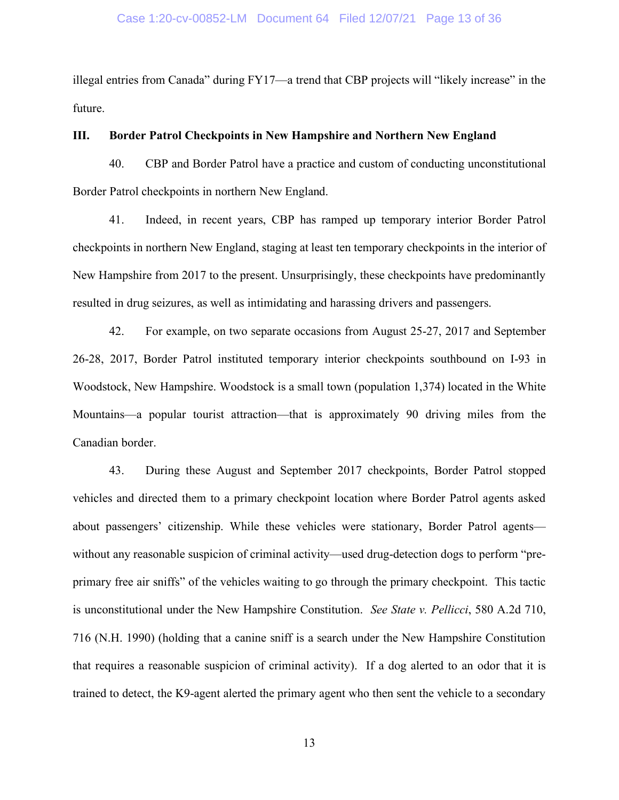illegal entries from Canada" during FY17—a trend that CBP projects will "likely increase" in the future.

#### **III. Border Patrol Checkpoints in New Hampshire and Northern New England**

40. CBP and Border Patrol have a practice and custom of conducting unconstitutional Border Patrol checkpoints in northern New England.

41. Indeed, in recent years, CBP has ramped up temporary interior Border Patrol checkpoints in northern New England, staging at least ten temporary checkpoints in the interior of New Hampshire from 2017 to the present. Unsurprisingly, these checkpoints have predominantly resulted in drug seizures, as well as intimidating and harassing drivers and passengers.

42. For example, on two separate occasions from August 25-27, 2017 and September 26-28, 2017, Border Patrol instituted temporary interior checkpoints southbound on I-93 in Woodstock, New Hampshire. Woodstock is a small town (population 1,374) located in the White Mountains—a popular tourist attraction—that is approximately 90 driving miles from the Canadian border.

43. During these August and September 2017 checkpoints, Border Patrol stopped vehicles and directed them to a primary checkpoint location where Border Patrol agents asked about passengers' citizenship. While these vehicles were stationary, Border Patrol agents without any reasonable suspicion of criminal activity—used drug-detection dogs to perform "preprimary free air sniffs" of the vehicles waiting to go through the primary checkpoint. This tactic is unconstitutional under the New Hampshire Constitution. *See State v. Pellicci*, 580 A.2d 710, 716 (N.H. 1990) (holding that a canine sniff is a search under the New Hampshire Constitution that requires a reasonable suspicion of criminal activity). If a dog alerted to an odor that it is trained to detect, the K9-agent alerted the primary agent who then sent the vehicle to a secondary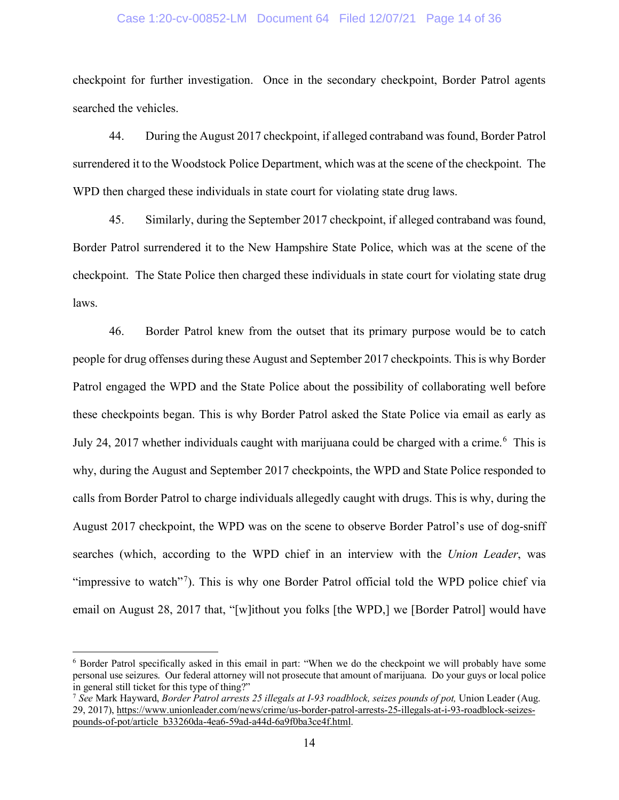#### Case 1:20-cv-00852-LM Document 64 Filed 12/07/21 Page 14 of 36

checkpoint for further investigation. Once in the secondary checkpoint, Border Patrol agents searched the vehicles.

44. During the August 2017 checkpoint, if alleged contraband was found, Border Patrol surrendered it to the Woodstock Police Department, which was at the scene of the checkpoint. The WPD then charged these individuals in state court for violating state drug laws.

45. Similarly, during the September 2017 checkpoint, if alleged contraband was found, Border Patrol surrendered it to the New Hampshire State Police, which was at the scene of the checkpoint. The State Police then charged these individuals in state court for violating state drug laws.

46. Border Patrol knew from the outset that its primary purpose would be to catch people for drug offenses during these August and September 2017 checkpoints. This is why Border Patrol engaged the WPD and the State Police about the possibility of collaborating well before these checkpoints began. This is why Border Patrol asked the State Police via email as early as July 24, 2017 whether individuals caught with marijuana could be charged with a crime.<sup>[6](#page-13-0)</sup> This is why, during the August and September 2017 checkpoints, the WPD and State Police responded to calls from Border Patrol to charge individuals allegedly caught with drugs. This is why, during the August 2017 checkpoint, the WPD was on the scene to observe Border Patrol's use of dog-sniff searches (which, according to the WPD chief in an interview with the *Union Leader*, was "impressive to watch"<sup>[7](#page-13-1)</sup>). This is why one Border Patrol official told the WPD police chief via email on August 28, 2017 that, "[w]ithout you folks [the WPD,] we [Border Patrol] would have

<span id="page-13-0"></span><sup>6</sup> Border Patrol specifically asked in this email in part: "When we do the checkpoint we will probably have some personal use seizures. Our federal attorney will not prosecute that amount of marijuana. Do your guys or local police in general still ticket for this type of thing?"

<span id="page-13-1"></span><sup>7</sup> *See* Mark Hayward, *Border Patrol arrests 25 illegals at I-93 roadblock, seizes pounds of pot,* Union Leader (Aug. 29, 2017), [https://www.unionleader.com/news/crime/us-border-patrol-arrests-25-illegals-at-i-93-roadblock-seizes](https://www.unionleader.com/news/crime/us-border-patrol-arrests-25-illegals-at-i-93-roadblock-seizes-pounds-of-pot/article_b33260da-4ea6-59ad-a44d-6a9f0ba3ce4f.html)[pounds-of-pot/article\\_b33260da-4ea6-59ad-a44d-6a9f0ba3ce4f.html.](https://www.unionleader.com/news/crime/us-border-patrol-arrests-25-illegals-at-i-93-roadblock-seizes-pounds-of-pot/article_b33260da-4ea6-59ad-a44d-6a9f0ba3ce4f.html)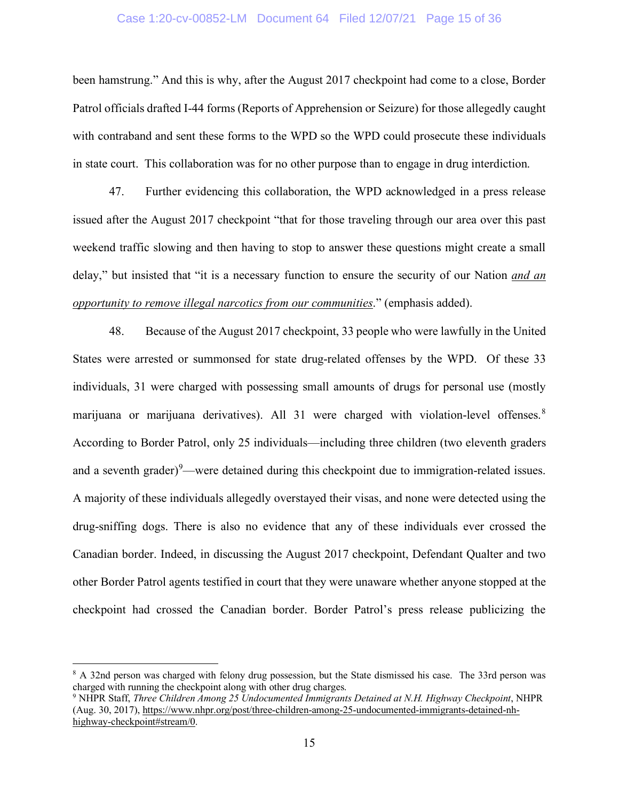#### Case 1:20-cv-00852-LM Document 64 Filed 12/07/21 Page 15 of 36

been hamstrung." And this is why, after the August 2017 checkpoint had come to a close, Border Patrol officials drafted I-44 forms (Reports of Apprehension or Seizure) for those allegedly caught with contraband and sent these forms to the WPD so the WPD could prosecute these individuals in state court. This collaboration was for no other purpose than to engage in drug interdiction.

47. Further evidencing this collaboration, the WPD acknowledged in a press release issued after the August 2017 checkpoint "that for those traveling through our area over this past weekend traffic slowing and then having to stop to answer these questions might create a small delay," but insisted that "it is a necessary function to ensure the security of our Nation *and an opportunity to remove illegal narcotics from our communities*." (emphasis added).

48. Because of the August 2017 checkpoint, 33 people who were lawfully in the United States were arrested or summonsed for state drug-related offenses by the WPD. Of these 33 individuals, 31 were charged with possessing small amounts of drugs for personal use (mostly marijuana or marijuana derivatives). All 31 were charged with violation-level offenses.<sup>[8](#page-14-0)</sup> According to Border Patrol, only 25 individuals—including three children (two eleventh graders and a seventh grader) $9$ —were detained during this checkpoint due to immigration-related issues. A majority of these individuals allegedly overstayed their visas, and none were detected using the drug-sniffing dogs. There is also no evidence that any of these individuals ever crossed the Canadian border. Indeed, in discussing the August 2017 checkpoint, Defendant Qualter and two other Border Patrol agents testified in court that they were unaware whether anyone stopped at the checkpoint had crossed the Canadian border. Border Patrol's press release publicizing the

<span id="page-14-0"></span><sup>8</sup> A 32nd person was charged with felony drug possession, but the State dismissed his case. The 33rd person was charged with running the checkpoint along with other drug charges.

<span id="page-14-1"></span><sup>9</sup> NHPR Staff, *Three Children Among 25 Undocumented Immigrants Detained at N.H. Highway Checkpoint*, NHPR (Aug. 30, 2017), [https://www.nhpr.org/post/three-children-among-25-undocumented-immigrants-detained-nh](https://www.nhpr.org/post/three-children-among-25-undocumented-immigrants-detained-nh-highway-checkpoint#stream/0)[highway-checkpoint#stream/0.](https://www.nhpr.org/post/three-children-among-25-undocumented-immigrants-detained-nh-highway-checkpoint#stream/0)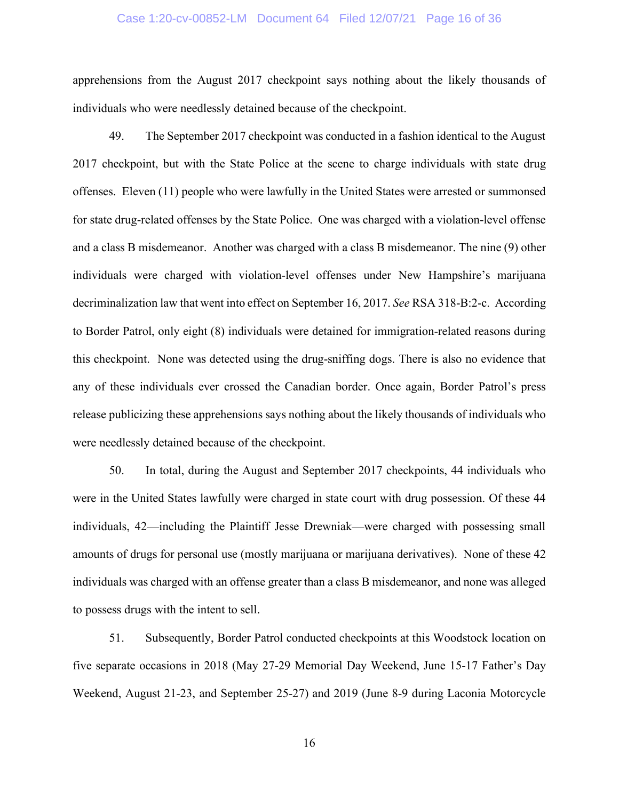#### Case 1:20-cv-00852-LM Document 64 Filed 12/07/21 Page 16 of 36

apprehensions from the August 2017 checkpoint says nothing about the likely thousands of individuals who were needlessly detained because of the checkpoint.

49. The September 2017 checkpoint was conducted in a fashion identical to the August 2017 checkpoint, but with the State Police at the scene to charge individuals with state drug offenses. Eleven (11) people who were lawfully in the United States were arrested or summonsed for state drug-related offenses by the State Police. One was charged with a violation-level offense and a class B misdemeanor. Another was charged with a class B misdemeanor. The nine (9) other individuals were charged with violation-level offenses under New Hampshire's marijuana decriminalization law that went into effect on September 16, 2017. *See* RSA 318-B:2-c. According to Border Patrol, only eight (8) individuals were detained for immigration-related reasons during this checkpoint. None was detected using the drug-sniffing dogs. There is also no evidence that any of these individuals ever crossed the Canadian border. Once again, Border Patrol's press release publicizing these apprehensions says nothing about the likely thousands of individuals who were needlessly detained because of the checkpoint.

50. In total, during the August and September 2017 checkpoints, 44 individuals who were in the United States lawfully were charged in state court with drug possession. Of these 44 individuals, 42—including the Plaintiff Jesse Drewniak—were charged with possessing small amounts of drugs for personal use (mostly marijuana or marijuana derivatives). None of these 42 individuals was charged with an offense greater than a class B misdemeanor, and none was alleged to possess drugs with the intent to sell.

51. Subsequently, Border Patrol conducted checkpoints at this Woodstock location on five separate occasions in 2018 (May 27-29 Memorial Day Weekend, June 15-17 Father's Day Weekend, August 21-23, and September 25-27) and 2019 (June 8-9 during Laconia Motorcycle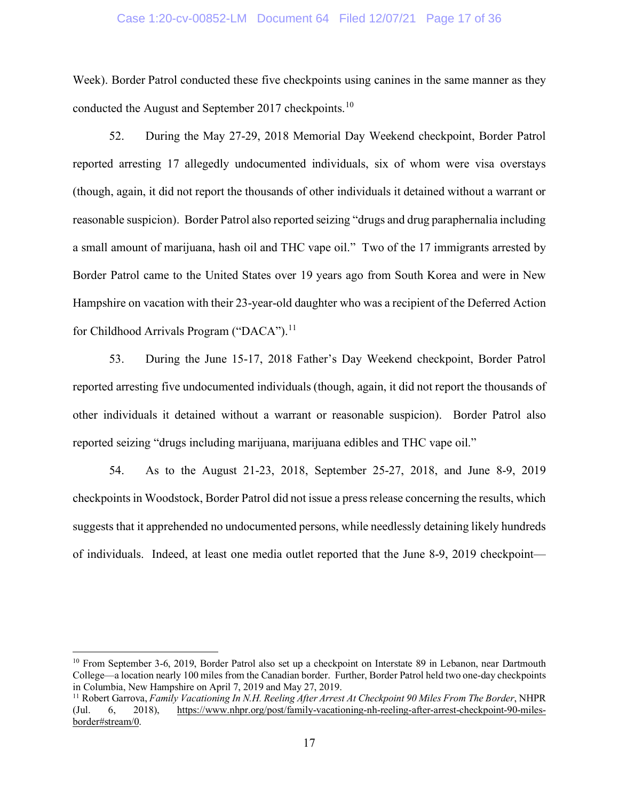#### Case 1:20-cv-00852-LM Document 64 Filed 12/07/21 Page 17 of 36

Week). Border Patrol conducted these five checkpoints using canines in the same manner as they conducted the August and September 2017 checkpoints.<sup>[10](#page-16-0)</sup>

52. During the May 27-29, 2018 Memorial Day Weekend checkpoint, Border Patrol reported arresting 17 allegedly undocumented individuals, six of whom were visa overstays (though, again, it did not report the thousands of other individuals it detained without a warrant or reasonable suspicion). Border Patrol also reported seizing "drugs and drug paraphernalia including a small amount of marijuana, hash oil and THC vape oil." Two of the 17 immigrants arrested by Border Patrol came to the United States over 19 years ago from South Korea and were in New Hampshire on vacation with their 23-year-old daughter who was a recipient of the Deferred Action for Childhood Arrivals Program ("DACA").<sup>11</sup>

53. During the June 15-17, 2018 Father's Day Weekend checkpoint, Border Patrol reported arresting five undocumented individuals (though, again, it did not report the thousands of other individuals it detained without a warrant or reasonable suspicion). Border Patrol also reported seizing "drugs including marijuana, marijuana edibles and THC vape oil."

54. As to the August 21-23, 2018, September 25-27, 2018, and June 8-9, 2019 checkpoints in Woodstock, Border Patrol did not issue a press release concerning the results, which suggests that it apprehended no undocumented persons, while needlessly detaining likely hundreds of individuals. Indeed, at least one media outlet reported that the June 8-9, 2019 checkpoint—

<span id="page-16-0"></span><sup>&</sup>lt;sup>10</sup> From September 3-6, 2019, Border Patrol also set up a checkpoint on Interstate 89 in Lebanon, near Dartmouth College—a location nearly 100 miles from the Canadian border. Further, Border Patrol held two one-day checkpoints in Columbia, New Hampshire on April 7, 2019 and May 27, 2019.

<span id="page-16-1"></span><sup>&</sup>lt;sup>11</sup> Robert Garrova, *Family Vacationing In N.H. Reeling After Arrest At Checkpoint 90 Miles From The Border*, NHPR (Jul. 6, 2018), https://www.nhpr.org/post/family-vacationing-nh-reeling-after-arrest-checkpoint-90-miles-(Jul. 6, 2018), [https://www.nhpr.org/post/family-vacationing-nh-reeling-after-arrest-checkpoint-90-miles](https://www.nhpr.org/post/family-vacationing-nh-reeling-after-arrest-checkpoint-90-miles-border#stream/0)[border#stream/0.](https://www.nhpr.org/post/family-vacationing-nh-reeling-after-arrest-checkpoint-90-miles-border#stream/0)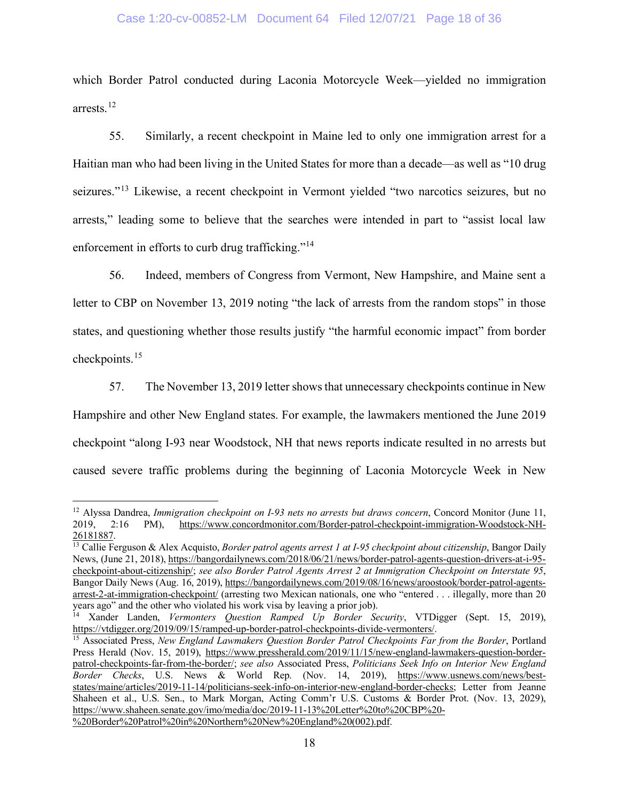### Case 1:20-cv-00852-LM Document 64 Filed 12/07/21 Page 18 of 36

which Border Patrol conducted during Laconia Motorcycle Week—yielded no immigration arrests.[12](#page-17-0) 

55. Similarly, a recent checkpoint in Maine led to only one immigration arrest for a Haitian man who had been living in the United States for more than a decade—as well as "10 drug seizures."<sup>[13](#page-17-1)</sup> Likewise, a recent checkpoint in Vermont yielded "two narcotics seizures, but no arrests," leading some to believe that the searches were intended in part to "assist local law enforcement in efforts to curb drug trafficking."<sup>[14](#page-17-2)</sup>

56. Indeed, members of Congress from Vermont, New Hampshire, and Maine sent a letter to CBP on November 13, 2019 noting "the lack of arrests from the random stops" in those states, and questioning whether those results justify "the harmful economic impact" from border checkpoints.[15](#page-17-3)

57. The November 13, 2019 letter shows that unnecessary checkpoints continue in New Hampshire and other New England states. For example, the lawmakers mentioned the June 2019 checkpoint "along I-93 near Woodstock, NH that news reports indicate resulted in no arrests but caused severe traffic problems during the beginning of Laconia Motorcycle Week in New

<span id="page-17-0"></span><sup>&</sup>lt;sup>12</sup> Alyssa Dandrea, *Immigration checkpoint on I-93 nets no arrests but draws concern*, Concord Monitor (June 11, 2019, 2:16 PM), https://www.concordmonitor.com/Border-patrol-checkpoint-immigration-Woodstock-NH-2019, 2:16 PM), [https://www.concordmonitor.com/Border-patrol-checkpoint-immigration-Woodstock-NH-](https://www.concordmonitor.com/Border-patrol-checkpoint-immigration-Woodstock-NH-26181887)[26181887.](https://www.concordmonitor.com/Border-patrol-checkpoint-immigration-Woodstock-NH-26181887)

<span id="page-17-1"></span><sup>&</sup>lt;sup>13</sup> Callie Ferguson & Alex Acquisto, *Border patrol agents arrest 1 at I-95 checkpoint about citizenship*, Bangor Daily News, (June 21, 2018)[, https://bangordailynews.com/2018/06/21/news/border-patrol-agents-question-drivers-at-i-95](https://bangordailynews.com/2018/06/21/news/border-patrol-agents-question-drivers-at-i-95-checkpoint-about-citizenship/) [checkpoint-about-citizenship/;](https://bangordailynews.com/2018/06/21/news/border-patrol-agents-question-drivers-at-i-95-checkpoint-about-citizenship/) *see also Border Patrol Agents Arrest 2 at Immigration Checkpoint on Interstate 95*, Bangor Daily News (Aug. 16, 2019)[, https://bangordailynews.com/2019/08/16/news/aroostook/border-patrol-agents](https://bangordailynews.com/2019/08/16/news/aroostook/border-patrol-agents-arrest-2-at-immigration-checkpoint/)[arrest-2-at-immigration-checkpoint/](https://bangordailynews.com/2019/08/16/news/aroostook/border-patrol-agents-arrest-2-at-immigration-checkpoint/) (arresting two Mexican nationals, one who "entered . . . illegally, more than 20 years ago" and the other who violated his work visa by leaving a prior job).

<span id="page-17-2"></span><sup>14</sup> Xander Landen, *Vermonters Question Ramped Up Border Security*, VTDigger (Sept. 15, 2019), [https://vtdigger.org/2019/09/15/ramped-up-border-patrol-checkpoints-divide-vermonters/.](https://vtdigger.org/2019/09/15/ramped-up-border-patrol-checkpoints-divide-vermonters/)

<span id="page-17-3"></span><sup>&</sup>lt;sup>15</sup> Associated Press, *New England Lawmakers Question Border Patrol Checkpoints Far from the Border*, Portland Press Herald (Nov. 15, 2019), [https://www.pressherald.com/2019/11/15/new-england-lawmakers-question-border](https://www.pressherald.com/2019/11/15/new-england-lawmakers-question-border-patrol-checkpoints-far-from-the-border/)[patrol-checkpoints-far-from-the-border/;](https://www.pressherald.com/2019/11/15/new-england-lawmakers-question-border-patrol-checkpoints-far-from-the-border/) *see also* Associated Press, *Politicians Seek Info on Interior New England Border Checks*, U.S. News & World Rep. (Nov. 14, 2019), [https://www.usnews.com/news/best](https://www.usnews.com/news/best-states/maine/articles/2019-11-14/politicians-seek-info-on-interior-new-england-border-checks)[states/maine/articles/2019-11-14/politicians-seek-info-on-interior-new-england-border-checks;](https://www.usnews.com/news/best-states/maine/articles/2019-11-14/politicians-seek-info-on-interior-new-england-border-checks) Letter from Jeanne Shaheen et al., U.S. Sen., to Mark Morgan, Acting Comm'r U.S. Customs & Border Prot. (Nov. 13, 2029), [https://www.shaheen.senate.gov/imo/media/doc/2019-11-13%20Letter%20to%20CBP%20-](https://www.shaheen.senate.gov/imo/media/doc/2019-11-13%20Letter%20to%20CBP%20-%20Border%20Patrol%20in%20Northern%20New%20England%20(002).pdf) [%20Border%20Patrol%20in%20Northern%20New%20England%20\(002\).pdf.](https://www.shaheen.senate.gov/imo/media/doc/2019-11-13%20Letter%20to%20CBP%20-%20Border%20Patrol%20in%20Northern%20New%20England%20(002).pdf)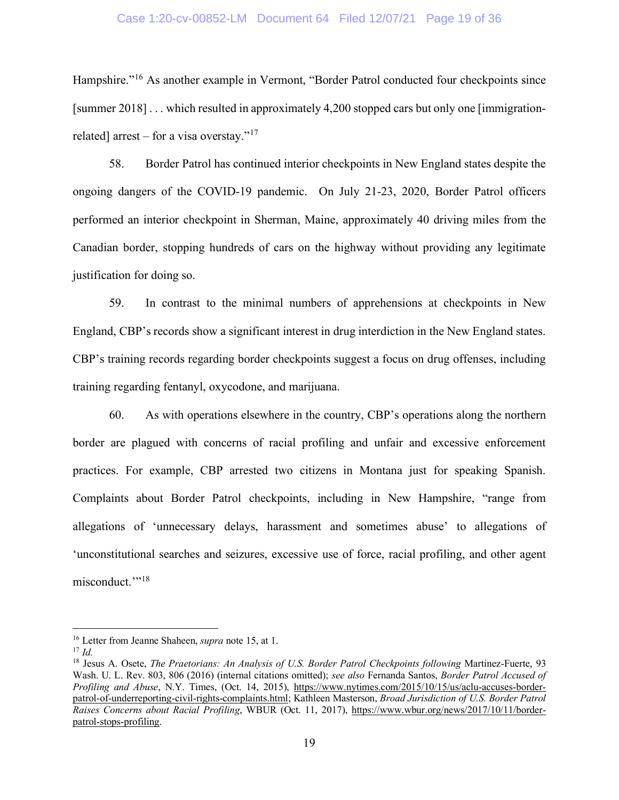### Case 1:20-cv-00852-LM Document 64 Filed 12/07/21 Page 19 of 36

Hampshire."<sup>[16](#page-18-0)</sup> As another example in Vermont, "Border Patrol conducted four checkpoints since [summer 2018] . . . which resulted in approximately 4,200 stopped cars but only one [immigration-related] arrest – for a visa overstay."<sup>[17](#page-18-1)</sup>

58. Border Patrol has continued interior checkpoints in New England states despite the ongoing dangers of the COVID-19 pandemic. On July 21-23, 2020, Border Patrol officers performed an interior checkpoint in Sherman, Maine, approximately 40 driving miles from the Canadian border, stopping hundreds of cars on the highway without providing any legitimate justification for doing so.

59. In contrast to the minimal numbers of apprehensions at checkpoints in New England, CBP's records show a significant interest in drug interdiction in the New England states. CBP's training records regarding border checkpoints suggest a focus on drug offenses, including training regarding fentanyl, oxycodone, and marijuana.

60. As with operations elsewhere in the country, CBP's operations along the northern border are plagued with concerns of racial profiling and unfair and excessive enforcement practices. For example, CBP arrested two citizens in Montana just for speaking Spanish. Complaints about Border Patrol checkpoints, including in New Hampshire, "range from allegations of 'unnecessary delays, harassment and sometimes abuse' to allegations of 'unconstitutional searches and seizures, excessive use of force, racial profiling, and other agent misconduct."<sup>[18](#page-18-2)</sup>

<span id="page-18-0"></span><sup>16</sup> Letter from Jeanne Shaheen, *supra* note 15, at 1.

<span id="page-18-1"></span> $17$  *Id.* 

<span id="page-18-2"></span><sup>&</sup>lt;sup>18</sup> Jesus A. Osete, *The Praetorians: An Analysis of U.S. Border Patrol Checkpoints following Martinez-Fuerte, 93* Wash. U. L. Rev. 803, 806 (2016) (internal citations omitted); *see also* Fernanda Santos, *Border Patrol Accused of Profiling and Abuse*, N.Y. Times, (Oct. 14, 2015), [https://www.nytimes.com/2015/10/15/us/aclu-accuses-border](https://www.nytimes.com/2015/10/15/us/aclu-accuses-border-patrol-of-underreporting-civil-rights-complaints.html)[patrol-of-underreporting-civil-rights-complaints.html;](https://www.nytimes.com/2015/10/15/us/aclu-accuses-border-patrol-of-underreporting-civil-rights-complaints.html) Kathleen Masterson, *Broad Jurisdiction of U.S. Border Patrol Raises Concerns about Racial Profiling*, WBUR (Oct. 11, 2017), [https://www.wbur.org/news/2017/10/11/border](https://www.wbur.org/news/2017/10/11/border-patrol-stops-profiling)[patrol-stops-profiling.](https://www.wbur.org/news/2017/10/11/border-patrol-stops-profiling)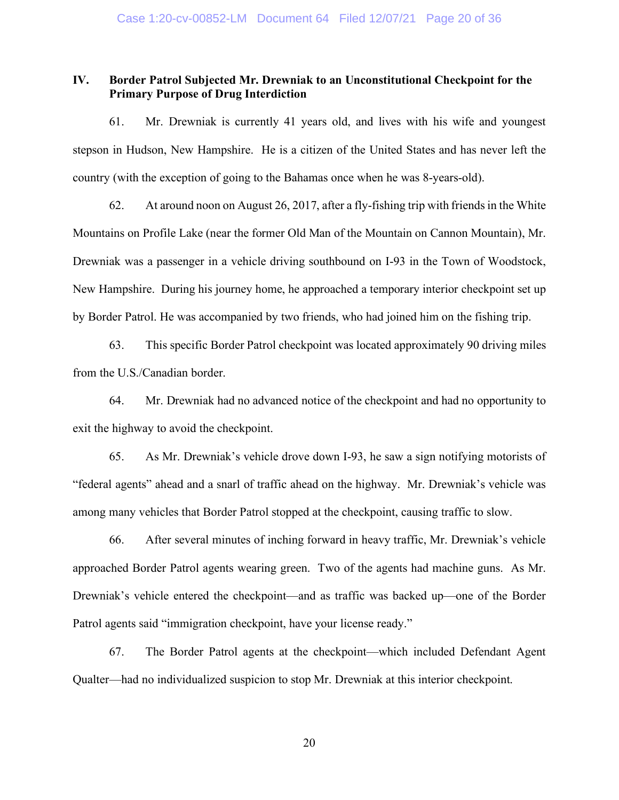# **IV. Border Patrol Subjected Mr. Drewniak to an Unconstitutional Checkpoint for the Primary Purpose of Drug Interdiction**

61. Mr. Drewniak is currently 41 years old, and lives with his wife and youngest stepson in Hudson, New Hampshire. He is a citizen of the United States and has never left the country (with the exception of going to the Bahamas once when he was 8-years-old).

62. At around noon on August 26, 2017, after a fly-fishing trip with friends in the White Mountains on Profile Lake (near the former Old Man of the Mountain on Cannon Mountain), Mr. Drewniak was a passenger in a vehicle driving southbound on I-93 in the Town of Woodstock, New Hampshire. During his journey home, he approached a temporary interior checkpoint set up by Border Patrol. He was accompanied by two friends, who had joined him on the fishing trip.

63. This specific Border Patrol checkpoint was located approximately 90 driving miles from the U.S./Canadian border.

64. Mr. Drewniak had no advanced notice of the checkpoint and had no opportunity to exit the highway to avoid the checkpoint.

65. As Mr. Drewniak's vehicle drove down I-93, he saw a sign notifying motorists of "federal agents" ahead and a snarl of traffic ahead on the highway. Mr. Drewniak's vehicle was among many vehicles that Border Patrol stopped at the checkpoint, causing traffic to slow.

66. After several minutes of inching forward in heavy traffic, Mr. Drewniak's vehicle approached Border Patrol agents wearing green. Two of the agents had machine guns. As Mr. Drewniak's vehicle entered the checkpoint—and as traffic was backed up—one of the Border Patrol agents said "immigration checkpoint, have your license ready."

67. The Border Patrol agents at the checkpoint—which included Defendant Agent Qualter—had no individualized suspicion to stop Mr. Drewniak at this interior checkpoint.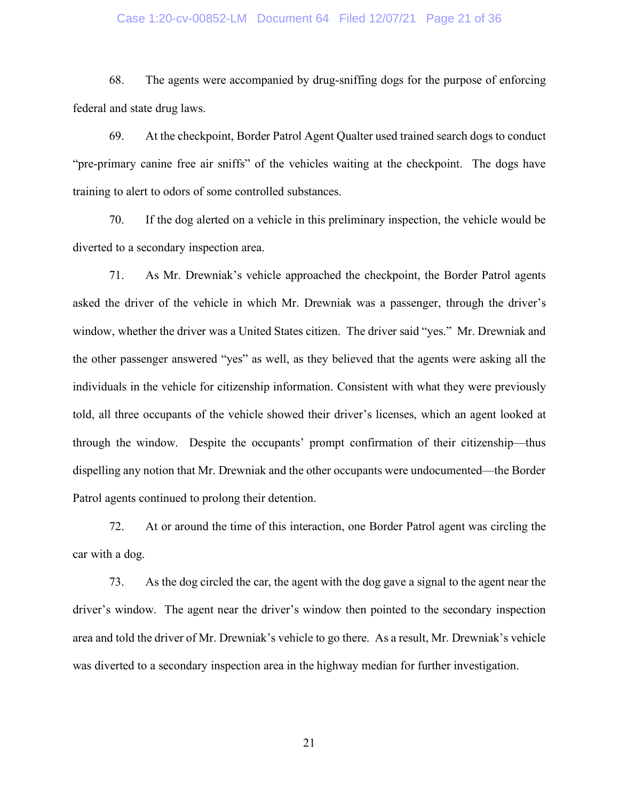#### Case 1:20-cv-00852-LM Document 64 Filed 12/07/21 Page 21 of 36

68. The agents were accompanied by drug-sniffing dogs for the purpose of enforcing federal and state drug laws.

69. At the checkpoint, Border Patrol Agent Qualter used trained search dogs to conduct "pre-primary canine free air sniffs" of the vehicles waiting at the checkpoint. The dogs have training to alert to odors of some controlled substances.

70. If the dog alerted on a vehicle in this preliminary inspection, the vehicle would be diverted to a secondary inspection area.

71. As Mr. Drewniak's vehicle approached the checkpoint, the Border Patrol agents asked the driver of the vehicle in which Mr. Drewniak was a passenger, through the driver's window, whether the driver was a United States citizen. The driver said "yes." Mr. Drewniak and the other passenger answered "yes" as well, as they believed that the agents were asking all the individuals in the vehicle for citizenship information. Consistent with what they were previously told, all three occupants of the vehicle showed their driver's licenses, which an agent looked at through the window. Despite the occupants' prompt confirmation of their citizenship—thus dispelling any notion that Mr. Drewniak and the other occupants were undocumented—the Border Patrol agents continued to prolong their detention.

72. At or around the time of this interaction, one Border Patrol agent was circling the car with a dog.

73. As the dog circled the car, the agent with the dog gave a signal to the agent near the driver's window. The agent near the driver's window then pointed to the secondary inspection area and told the driver of Mr. Drewniak's vehicle to go there. As a result, Mr. Drewniak's vehicle was diverted to a secondary inspection area in the highway median for further investigation.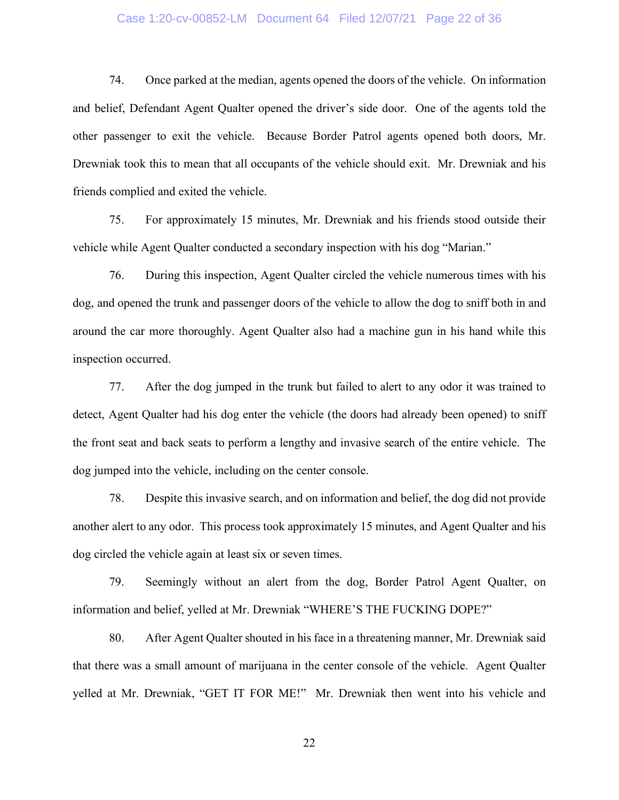### Case 1:20-cv-00852-LM Document 64 Filed 12/07/21 Page 22 of 36

74. Once parked at the median, agents opened the doors of the vehicle. On information and belief, Defendant Agent Qualter opened the driver's side door. One of the agents told the other passenger to exit the vehicle. Because Border Patrol agents opened both doors, Mr. Drewniak took this to mean that all occupants of the vehicle should exit. Mr. Drewniak and his friends complied and exited the vehicle.

75. For approximately 15 minutes, Mr. Drewniak and his friends stood outside their vehicle while Agent Qualter conducted a secondary inspection with his dog "Marian."

76. During this inspection, Agent Qualter circled the vehicle numerous times with his dog, and opened the trunk and passenger doors of the vehicle to allow the dog to sniff both in and around the car more thoroughly. Agent Qualter also had a machine gun in his hand while this inspection occurred.

77. After the dog jumped in the trunk but failed to alert to any odor it was trained to detect, Agent Qualter had his dog enter the vehicle (the doors had already been opened) to sniff the front seat and back seats to perform a lengthy and invasive search of the entire vehicle. The dog jumped into the vehicle, including on the center console.

78. Despite this invasive search, and on information and belief, the dog did not provide another alert to any odor. This process took approximately 15 minutes, and Agent Qualter and his dog circled the vehicle again at least six or seven times.

79. Seemingly without an alert from the dog, Border Patrol Agent Qualter, on information and belief, yelled at Mr. Drewniak "WHERE'S THE FUCKING DOPE?"

80. After Agent Qualter shouted in his face in a threatening manner, Mr. Drewniak said that there was a small amount of marijuana in the center console of the vehicle. Agent Qualter yelled at Mr. Drewniak, "GET IT FOR ME!" Mr. Drewniak then went into his vehicle and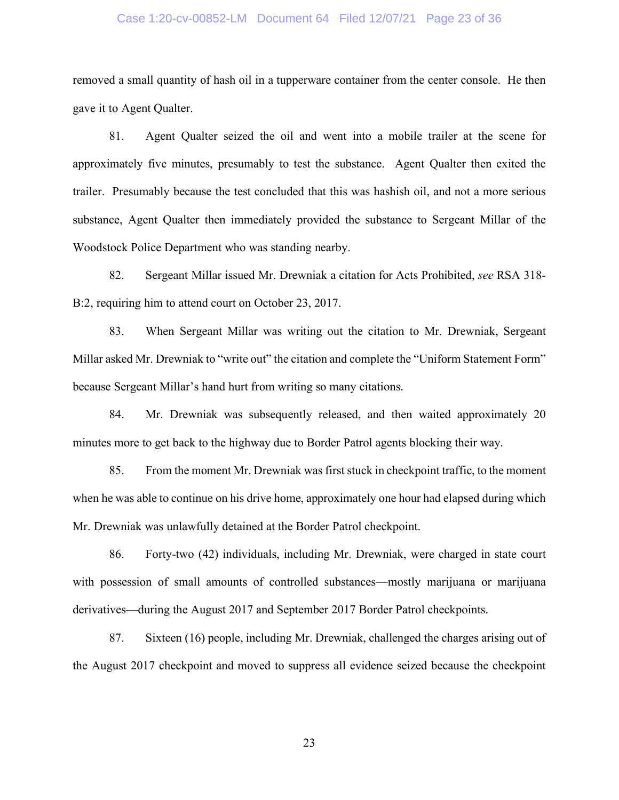#### Case 1:20-cv-00852-LM Document 64 Filed 12/07/21 Page 23 of 36

removed a small quantity of hash oil in a tupperware container from the center console. He then gave it to Agent Qualter.

81. Agent Qualter seized the oil and went into a mobile trailer at the scene for approximately five minutes, presumably to test the substance. Agent Qualter then exited the trailer. Presumably because the test concluded that this was hashish oil, and not a more serious substance, Agent Qualter then immediately provided the substance to Sergeant Millar of the Woodstock Police Department who was standing nearby.

82. Sergeant Millar issued Mr. Drewniak a citation for Acts Prohibited, *see* RSA 318- B:2, requiring him to attend court on October 23, 2017.

83. When Sergeant Millar was writing out the citation to Mr. Drewniak, Sergeant Millar asked Mr. Drewniak to "write out" the citation and complete the "Uniform Statement Form" because Sergeant Millar's hand hurt from writing so many citations.

84. Mr. Drewniak was subsequently released, and then waited approximately 20 minutes more to get back to the highway due to Border Patrol agents blocking their way.

85. From the moment Mr. Drewniak was first stuck in checkpoint traffic, to the moment when he was able to continue on his drive home, approximately one hour had elapsed during which Mr. Drewniak was unlawfully detained at the Border Patrol checkpoint.

86. Forty-two (42) individuals, including Mr. Drewniak, were charged in state court with possession of small amounts of controlled substances—mostly marijuana or marijuana derivatives—during the August 2017 and September 2017 Border Patrol checkpoints.

87. Sixteen (16) people, including Mr. Drewniak, challenged the charges arising out of the August 2017 checkpoint and moved to suppress all evidence seized because the checkpoint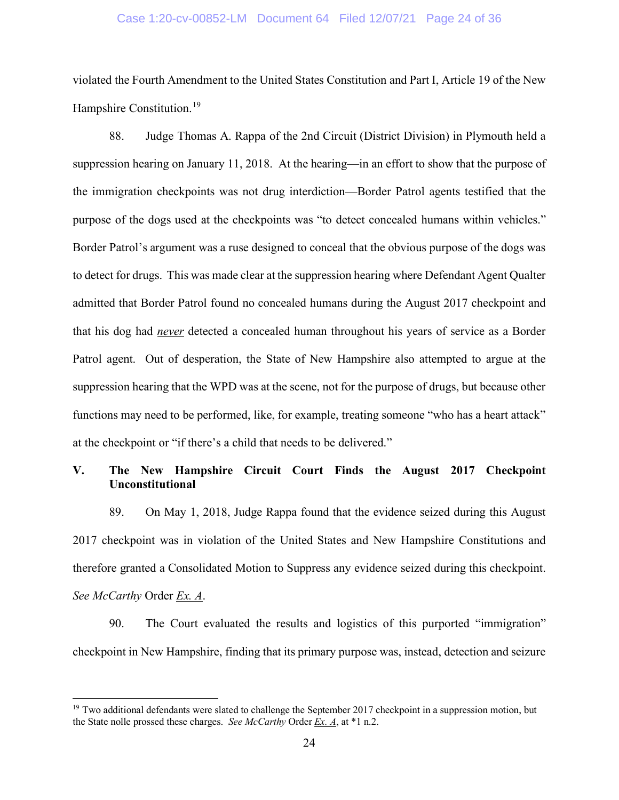#### Case 1:20-cv-00852-LM Document 64 Filed 12/07/21 Page 24 of 36

violated the Fourth Amendment to the United States Constitution and Part I, Article 19 of the New Hampshire Constitution.<sup>[19](#page-23-0)</sup>

88. Judge Thomas A. Rappa of the 2nd Circuit (District Division) in Plymouth held a suppression hearing on January 11, 2018. At the hearing—in an effort to show that the purpose of the immigration checkpoints was not drug interdiction—Border Patrol agents testified that the purpose of the dogs used at the checkpoints was "to detect concealed humans within vehicles." Border Patrol's argument was a ruse designed to conceal that the obvious purpose of the dogs was to detect for drugs. This was made clear at the suppression hearing where Defendant Agent Qualter admitted that Border Patrol found no concealed humans during the August 2017 checkpoint and that his dog had *never* detected a concealed human throughout his years of service as a Border Patrol agent. Out of desperation, the State of New Hampshire also attempted to argue at the suppression hearing that the WPD was at the scene, not for the purpose of drugs, but because other functions may need to be performed, like, for example, treating someone "who has a heart attack" at the checkpoint or "if there's a child that needs to be delivered."

# **V. The New Hampshire Circuit Court Finds the August 2017 Checkpoint Unconstitutional**

89. On May 1, 2018, Judge Rappa found that the evidence seized during this August 2017 checkpoint was in violation of the United States and New Hampshire Constitutions and therefore granted a Consolidated Motion to Suppress any evidence seized during this checkpoint. *See McCarthy* Order *Ex. A*.

90. The Court evaluated the results and logistics of this purported "immigration" checkpoint in New Hampshire, finding that its primary purpose was, instead, detection and seizure

<span id="page-23-0"></span> $19$  Two additional defendants were slated to challenge the September 2017 checkpoint in a suppression motion, but the State nolle prossed these charges. *See McCarthy* Order *Ex. A*, at \*1 n.2.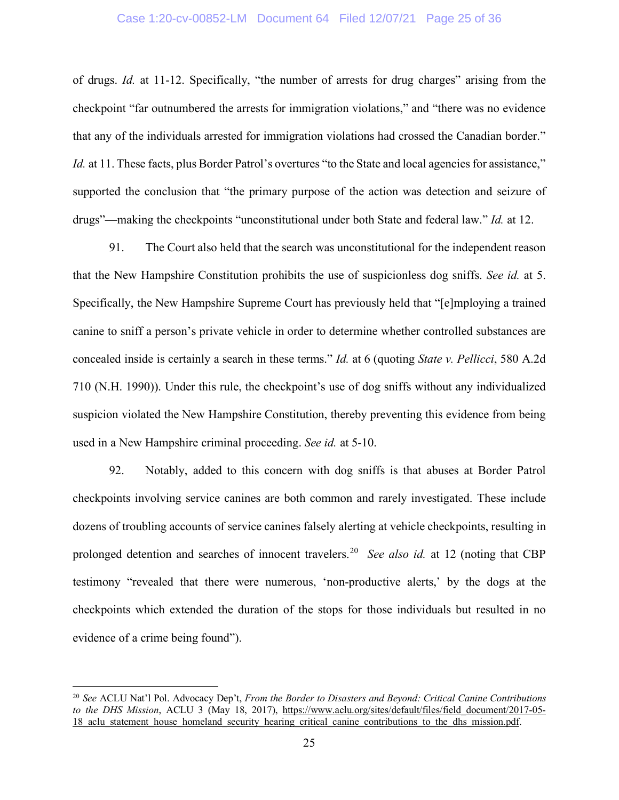### Case 1:20-cv-00852-LM Document 64 Filed 12/07/21 Page 25 of 36

of drugs. *Id.* at 11-12. Specifically, "the number of arrests for drug charges" arising from the checkpoint "far outnumbered the arrests for immigration violations," and "there was no evidence that any of the individuals arrested for immigration violations had crossed the Canadian border." *Id.* at 11. These facts, plus Border Patrol's overtures "to the State and local agencies for assistance," supported the conclusion that "the primary purpose of the action was detection and seizure of drugs"—making the checkpoints "unconstitutional under both State and federal law." *Id.* at 12.

91. The Court also held that the search was unconstitutional for the independent reason that the New Hampshire Constitution prohibits the use of suspicionless dog sniffs. *See id.* at 5. Specifically, the New Hampshire Supreme Court has previously held that "[e]mploying a trained canine to sniff a person's private vehicle in order to determine whether controlled substances are concealed inside is certainly a search in these terms." *Id.* at 6 (quoting *State v. Pellicci*, 580 A.2d 710 (N.H. 1990)). Under this rule, the checkpoint's use of dog sniffs without any individualized suspicion violated the New Hampshire Constitution, thereby preventing this evidence from being used in a New Hampshire criminal proceeding. *See id.* at 5-10.

92. Notably, added to this concern with dog sniffs is that abuses at Border Patrol checkpoints involving service canines are both common and rarely investigated. These include dozens of troubling accounts of service canines falsely alerting at vehicle checkpoints, resulting in prolonged detention and searches of innocent travelers. [20](#page-24-0) *See also id.* at 12 (noting that CBP testimony "revealed that there were numerous, 'non-productive alerts,' by the dogs at the checkpoints which extended the duration of the stops for those individuals but resulted in no evidence of a crime being found").

<span id="page-24-0"></span><sup>20</sup> *See* ACLU Nat'l Pol. Advocacy Dep't, *From the Border to Disasters and Beyond: Critical Canine Contributions to the DHS Mission*, ACLU 3 (May 18, 2017), [https://www.aclu.org/sites/default/files/field\\_document/2017-05-](https://www.aclu.org/sites/default/files/field_document/2017-05-18_aclu_statement_house_homeland_security_hearing_critical_canine_contributions_to_the_dhs_mission.pdf) 18 aclu statement house homeland security hearing critical canine contributions to the dhs mission.pdf.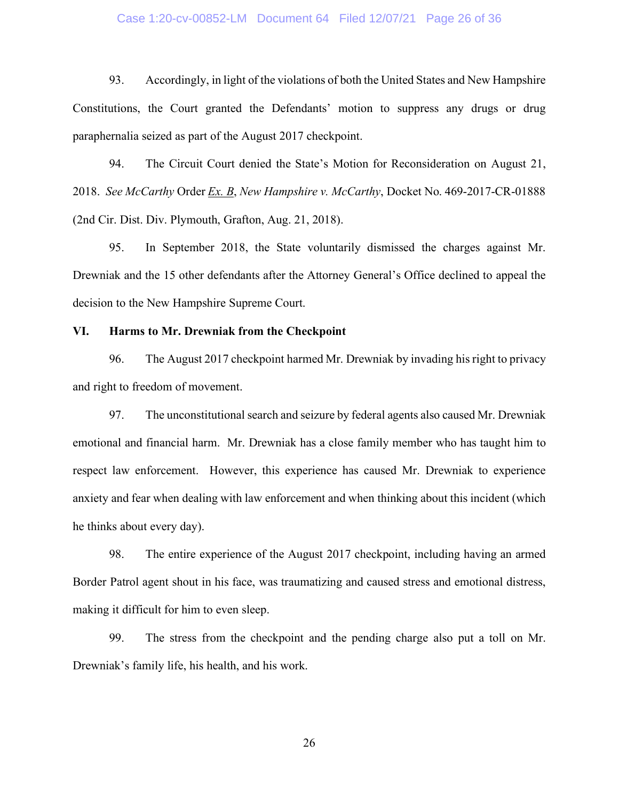#### Case 1:20-cv-00852-LM Document 64 Filed 12/07/21 Page 26 of 36

93. Accordingly, in light of the violations of both the United States and New Hampshire Constitutions, the Court granted the Defendants' motion to suppress any drugs or drug paraphernalia seized as part of the August 2017 checkpoint.

94. The Circuit Court denied the State's Motion for Reconsideration on August 21, 2018. *See McCarthy* Order *Ex. B*, *New Hampshire v. McCarthy*, Docket No. 469-2017-CR-01888 (2nd Cir. Dist. Div. Plymouth, Grafton, Aug. 21, 2018).

95. In September 2018, the State voluntarily dismissed the charges against Mr. Drewniak and the 15 other defendants after the Attorney General's Office declined to appeal the decision to the New Hampshire Supreme Court.

#### **VI. Harms to Mr. Drewniak from the Checkpoint**

96. The August 2017 checkpoint harmed Mr. Drewniak by invading his right to privacy and right to freedom of movement.

97. The unconstitutional search and seizure by federal agents also caused Mr. Drewniak emotional and financial harm. Mr. Drewniak has a close family member who has taught him to respect law enforcement. However, this experience has caused Mr. Drewniak to experience anxiety and fear when dealing with law enforcement and when thinking about this incident (which he thinks about every day).

98. The entire experience of the August 2017 checkpoint, including having an armed Border Patrol agent shout in his face, was traumatizing and caused stress and emotional distress, making it difficult for him to even sleep.

99. The stress from the checkpoint and the pending charge also put a toll on Mr. Drewniak's family life, his health, and his work.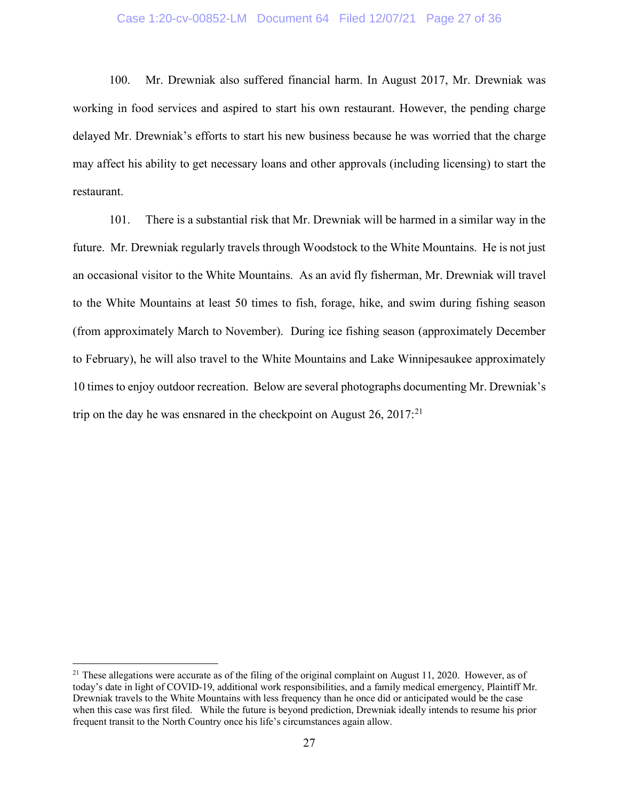### Case 1:20-cv-00852-LM Document 64 Filed 12/07/21 Page 27 of 36

100. Mr. Drewniak also suffered financial harm. In August 2017, Mr. Drewniak was working in food services and aspired to start his own restaurant. However, the pending charge delayed Mr. Drewniak's efforts to start his new business because he was worried that the charge may affect his ability to get necessary loans and other approvals (including licensing) to start the restaurant.

101. There is a substantial risk that Mr. Drewniak will be harmed in a similar way in the future. Mr. Drewniak regularly travels through Woodstock to the White Mountains. He is not just an occasional visitor to the White Mountains. As an avid fly fisherman, Mr. Drewniak will travel to the White Mountains at least 50 times to fish, forage, hike, and swim during fishing season (from approximately March to November). During ice fishing season (approximately December to February), he will also travel to the White Mountains and Lake Winnipesaukee approximately 10 times to enjoy outdoor recreation. Below are several photographs documenting Mr. Drewniak's trip on the day he was ensnared in the checkpoint on August  $26$ ,  $2017$ <sup>[21](#page-26-0)</sup>

<span id="page-26-0"></span><sup>&</sup>lt;sup>21</sup> These allegations were accurate as of the filing of the original complaint on August 11, 2020. However, as of today's date in light of COVID-19, additional work responsibilities, and a family medical emergency, Plaintiff Mr. Drewniak travels to the White Mountains with less frequency than he once did or anticipated would be the case when this case was first filed. While the future is beyond prediction, Drewniak ideally intends to resume his prior frequent transit to the North Country once his life's circumstances again allow.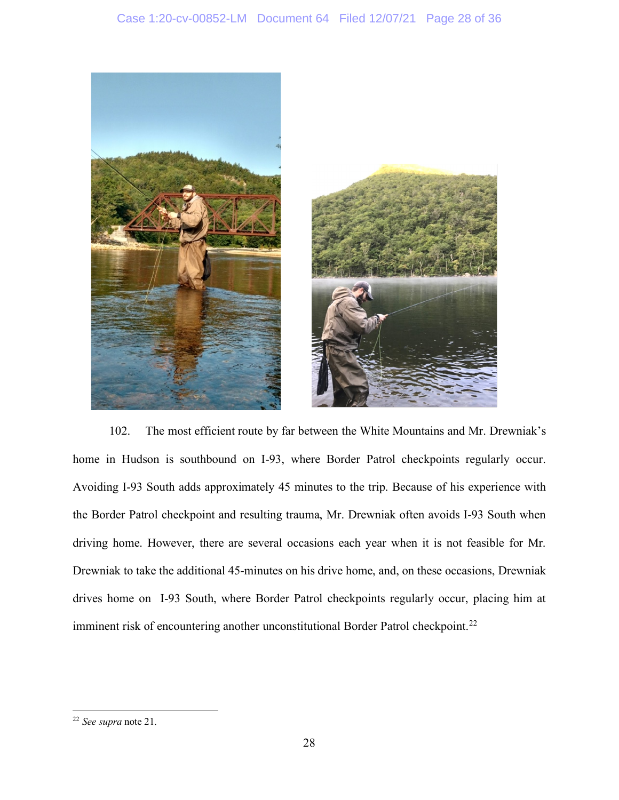

102. The most efficient route by far between the White Mountains and Mr. Drewniak's home in Hudson is southbound on I-93, where Border Patrol checkpoints regularly occur. Avoiding I-93 South adds approximately 45 minutes to the trip. Because of his experience with the Border Patrol checkpoint and resulting trauma, Mr. Drewniak often avoids I-93 South when driving home. However, there are several occasions each year when it is not feasible for Mr. Drewniak to take the additional 45-minutes on his drive home, and, on these occasions, Drewniak drives home on I-93 South, where Border Patrol checkpoints regularly occur, placing him at imminent risk of encountering another unconstitutional Border Patrol checkpoint.<sup>[22](#page-27-0)</sup>

<span id="page-27-0"></span><sup>22</sup> *See supra* note 21.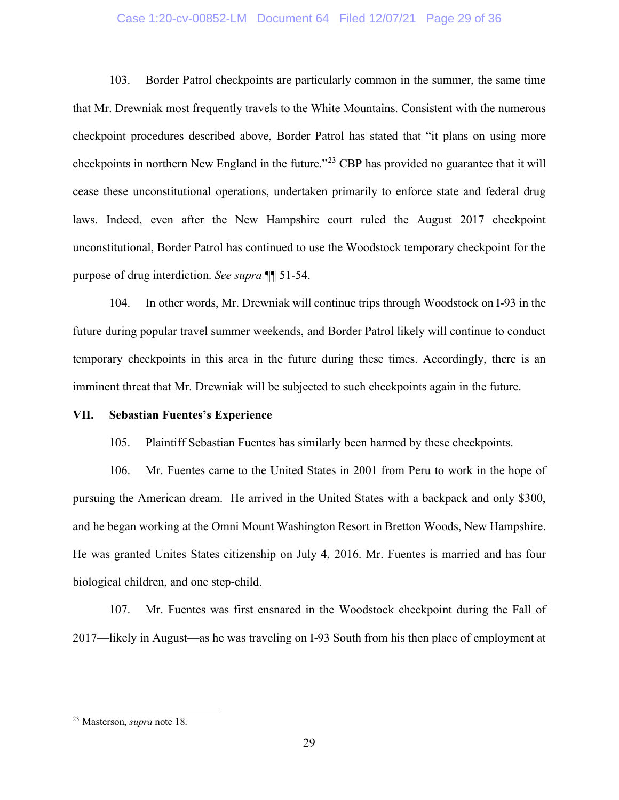## Case 1:20-cv-00852-LM Document 64 Filed 12/07/21 Page 29 of 36

103. Border Patrol checkpoints are particularly common in the summer, the same time that Mr. Drewniak most frequently travels to the White Mountains. Consistent with the numerous checkpoint procedures described above, Border Patrol has stated that "it plans on using more checkpoints in northern New England in the future."[23](#page-28-0) CBP has provided no guarantee that it will cease these unconstitutional operations, undertaken primarily to enforce state and federal drug laws. Indeed, even after the New Hampshire court ruled the August 2017 checkpoint unconstitutional, Border Patrol has continued to use the Woodstock temporary checkpoint for the purpose of drug interdiction. *See supra* ¶¶ 51-54.

104. In other words, Mr. Drewniak will continue trips through Woodstock on I-93 in the future during popular travel summer weekends, and Border Patrol likely will continue to conduct temporary checkpoints in this area in the future during these times. Accordingly, there is an imminent threat that Mr. Drewniak will be subjected to such checkpoints again in the future.

### **VII. Sebastian Fuentes's Experience**

105. Plaintiff Sebastian Fuentes has similarly been harmed by these checkpoints.

106. Mr. Fuentes came to the United States in 2001 from Peru to work in the hope of pursuing the American dream. He arrived in the United States with a backpack and only \$300, and he began working at the Omni Mount Washington Resort in Bretton Woods, New Hampshire. He was granted Unites States citizenship on July 4, 2016. Mr. Fuentes is married and has four biological children, and one step-child.

107. Mr. Fuentes was first ensnared in the Woodstock checkpoint during the Fall of 2017—likely in August—as he was traveling on I-93 South from his then place of employment at

<span id="page-28-0"></span><sup>23</sup> Masterson, *supra* note 18.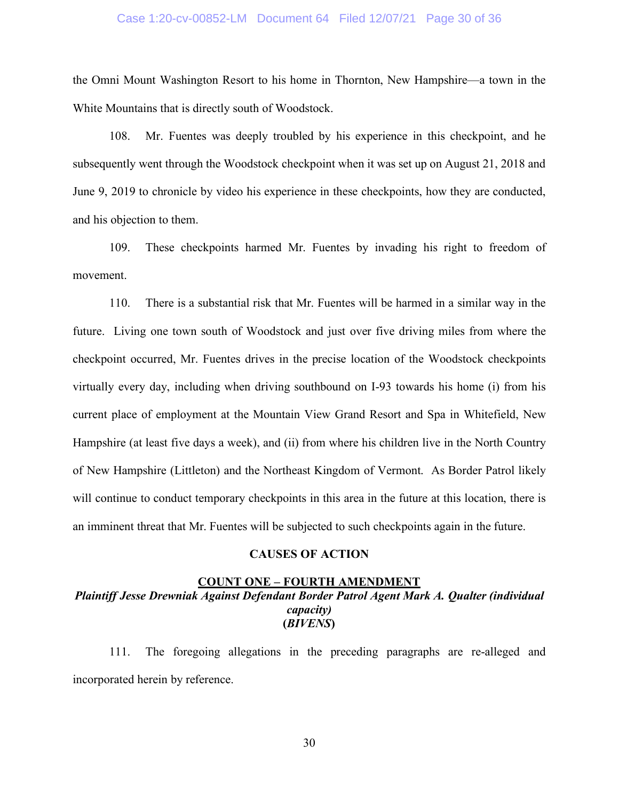#### Case 1:20-cv-00852-LM Document 64 Filed 12/07/21 Page 30 of 36

the Omni Mount Washington Resort to his home in Thornton, New Hampshire—a town in the White Mountains that is directly south of Woodstock.

108. Mr. Fuentes was deeply troubled by his experience in this checkpoint, and he subsequently went through the Woodstock checkpoint when it was set up on August 21, 2018 and June 9, 2019 to chronicle by video his experience in these checkpoints, how they are conducted, and his objection to them.

109. These checkpoints harmed Mr. Fuentes by invading his right to freedom of movement.

110. There is a substantial risk that Mr. Fuentes will be harmed in a similar way in the future. Living one town south of Woodstock and just over five driving miles from where the checkpoint occurred, Mr. Fuentes drives in the precise location of the Woodstock checkpoints virtually every day, including when driving southbound on I-93 towards his home (i) from his current place of employment at the Mountain View Grand Resort and Spa in Whitefield, New Hampshire (at least five days a week), and (ii) from where his children live in the North Country of New Hampshire (Littleton) and the Northeast Kingdom of Vermont. As Border Patrol likely will continue to conduct temporary checkpoints in this area in the future at this location, there is an imminent threat that Mr. Fuentes will be subjected to such checkpoints again in the future.

#### **CAUSES OF ACTION**

### **COUNT ONE – FOURTH AMENDMENT** *Plaintiff Jesse Drewniak Against Defendant Border Patrol Agent Mark A. Qualter (individual capacity)* **(***BIVENS***)**

111. The foregoing allegations in the preceding paragraphs are re-alleged and incorporated herein by reference.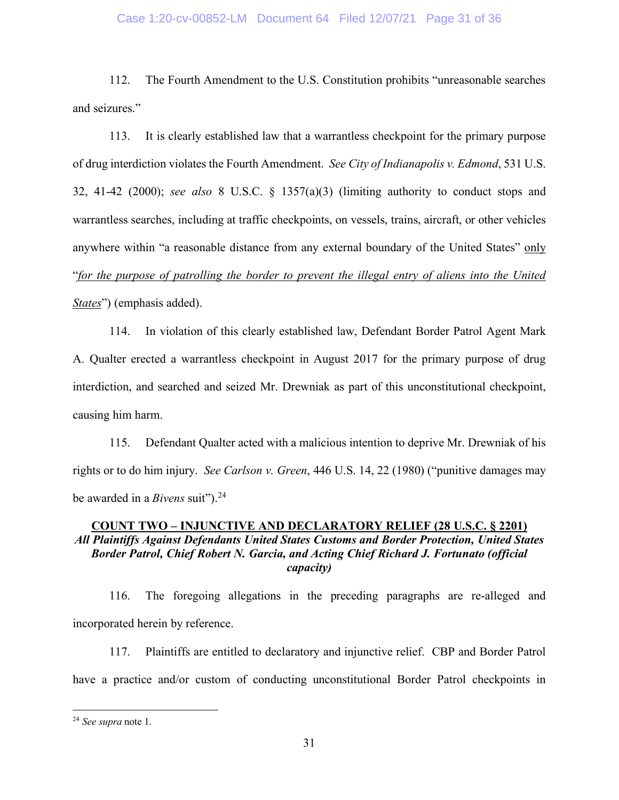### Case 1:20-cv-00852-LM Document 64 Filed 12/07/21 Page 31 of 36

112. The Fourth Amendment to the U.S. Constitution prohibits "unreasonable searches and seizures."

113. It is clearly established law that a warrantless checkpoint for the primary purpose of drug interdiction violates the Fourth Amendment. *See City of Indianapolis v. Edmond*, 531 U.S. 32, 41-42 (2000); *see also* 8 U.S.C. § 1357(a)(3) (limiting authority to conduct stops and warrantless searches, including at traffic checkpoints, on vessels, trains, aircraft, or other vehicles anywhere within "a reasonable distance from any external boundary of the United States" only "*for the purpose of patrolling the border to prevent the illegal entry of aliens into the United States*") (emphasis added).

114. In violation of this clearly established law, Defendant Border Patrol Agent Mark A. Qualter erected a warrantless checkpoint in August 2017 for the primary purpose of drug interdiction, and searched and seized Mr. Drewniak as part of this unconstitutional checkpoint, causing him harm.

115. Defendant Qualter acted with a malicious intention to deprive Mr. Drewniak of his rights or to do him injury. *See Carlson v. Green*, 446 U.S. 14, 22 (1980) ("punitive damages may be awarded in a *Bivens* suit").<sup>[24](#page-30-0)</sup>

# **COUNT TWO – INJUNCTIVE AND DECLARATORY RELIEF (28 U.S.C. § 2201)** *All Plaintiffs Against Defendants United States Customs and Border Protection, United States Border Patrol, Chief Robert N. Garcia, and Acting Chief Richard J. Fortunato (official capacity)*

116. The foregoing allegations in the preceding paragraphs are re-alleged and incorporated herein by reference.

117. Plaintiffs are entitled to declaratory and injunctive relief. CBP and Border Patrol have a practice and/or custom of conducting unconstitutional Border Patrol checkpoints in

<span id="page-30-0"></span><sup>24</sup> *See supra* note 1.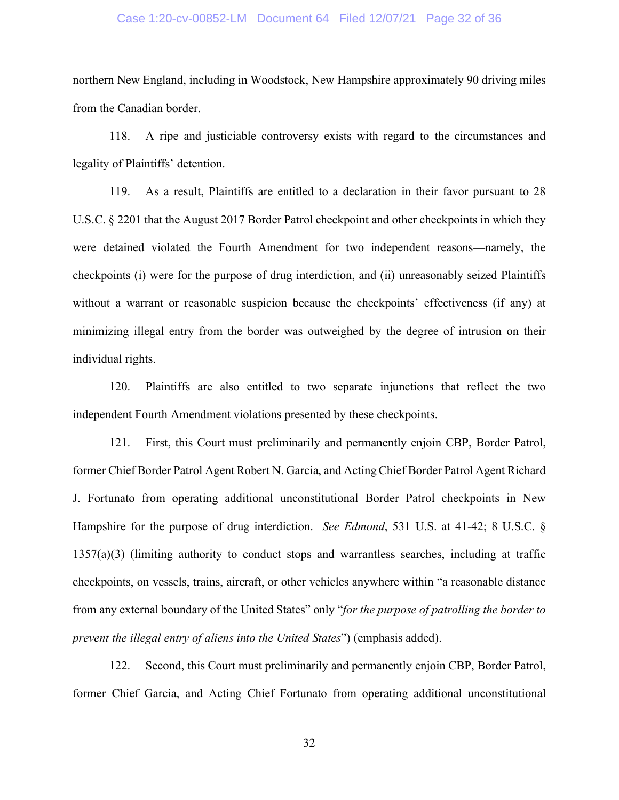#### Case 1:20-cv-00852-LM Document 64 Filed 12/07/21 Page 32 of 36

northern New England, including in Woodstock, New Hampshire approximately 90 driving miles from the Canadian border.

118. A ripe and justiciable controversy exists with regard to the circumstances and legality of Plaintiffs' detention.

119. As a result, Plaintiffs are entitled to a declaration in their favor pursuant to 28 U.S.C. § 2201 that the August 2017 Border Patrol checkpoint and other checkpoints in which they were detained violated the Fourth Amendment for two independent reasons—namely, the checkpoints (i) were for the purpose of drug interdiction, and (ii) unreasonably seized Plaintiffs without a warrant or reasonable suspicion because the checkpoints' effectiveness (if any) at minimizing illegal entry from the border was outweighed by the degree of intrusion on their individual rights.

120. Plaintiffs are also entitled to two separate injunctions that reflect the two independent Fourth Amendment violations presented by these checkpoints.

121. First, this Court must preliminarily and permanently enjoin CBP, Border Patrol, former Chief Border Patrol Agent Robert N. Garcia, and Acting Chief Border Patrol Agent Richard J. Fortunato from operating additional unconstitutional Border Patrol checkpoints in New Hampshire for the purpose of drug interdiction. *See Edmond*, 531 U.S. at 41-42; 8 U.S.C. § 1357(a)(3) (limiting authority to conduct stops and warrantless searches, including at traffic checkpoints, on vessels, trains, aircraft, or other vehicles anywhere within "a reasonable distance from any external boundary of the United States" only "*for the purpose of patrolling the border to prevent the illegal entry of aliens into the United States*") (emphasis added).

122. Second, this Court must preliminarily and permanently enjoin CBP, Border Patrol, former Chief Garcia, and Acting Chief Fortunato from operating additional unconstitutional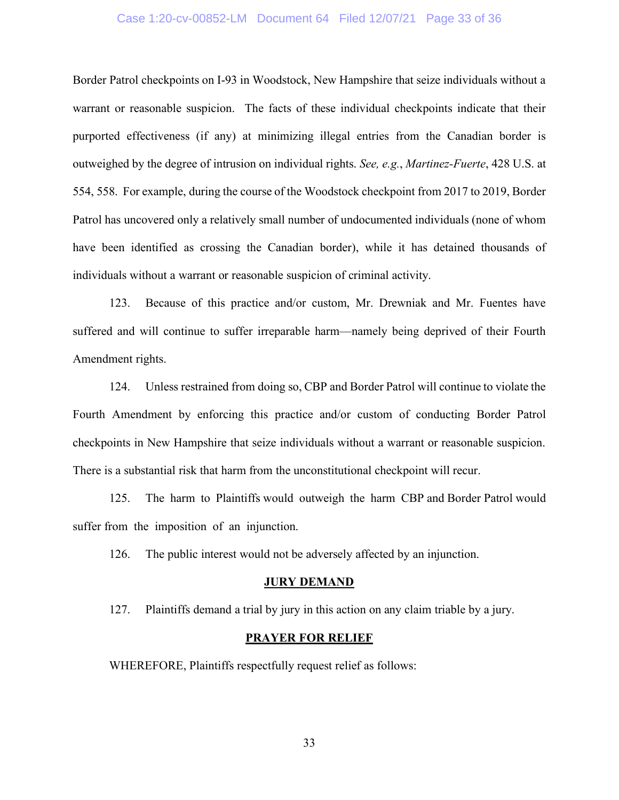### Case 1:20-cv-00852-LM Document 64 Filed 12/07/21 Page 33 of 36

Border Patrol checkpoints on I-93 in Woodstock, New Hampshire that seize individuals without a warrant or reasonable suspicion. The facts of these individual checkpoints indicate that their purported effectiveness (if any) at minimizing illegal entries from the Canadian border is outweighed by the degree of intrusion on individual rights. *See, e.g.*, *Martinez-Fuerte*, 428 U.S. at 554, 558. For example, during the course of the Woodstock checkpoint from 2017 to 2019, Border Patrol has uncovered only a relatively small number of undocumented individuals (none of whom have been identified as crossing the Canadian border), while it has detained thousands of individuals without a warrant or reasonable suspicion of criminal activity.

123. Because of this practice and/or custom, Mr. Drewniak and Mr. Fuentes have suffered and will continue to suffer irreparable harm—namely being deprived of their Fourth Amendment rights.

124. Unless restrained from doing so, CBP and Border Patrol will continue to violate the Fourth Amendment by enforcing this practice and/or custom of conducting Border Patrol checkpoints in New Hampshire that seize individuals without a warrant or reasonable suspicion. There is a substantial risk that harm from the unconstitutional checkpoint will recur.

125. The harm to Plaintiffs would outweigh the harm CBP and Border Patrol would suffer from the imposition of an injunction.

126. The public interest would not be adversely affected by an injunction.

#### **JURY DEMAND**

127. Plaintiffs demand a trial by jury in this action on any claim triable by a jury.

#### **PRAYER FOR RELIEF**

WHEREFORE, Plaintiffs respectfully request relief as follows: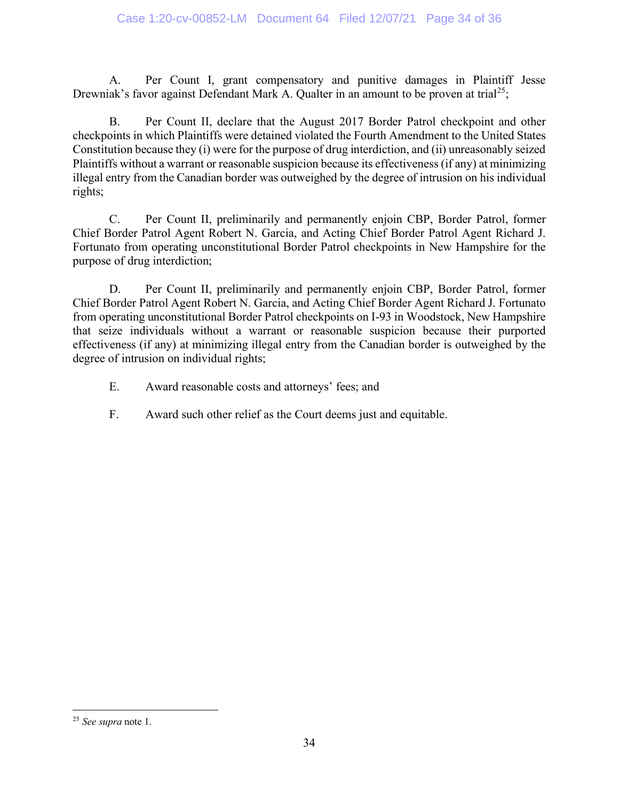A. Per Count I, grant compensatory and punitive damages in Plaintiff Jesse Drewniak's favor against Defendant Mark A. Qualter in an amount to be proven at trial<sup>[25](#page-33-0)</sup>;

B. Per Count II, declare that the August 2017 Border Patrol checkpoint and other checkpoints in which Plaintiffs were detained violated the Fourth Amendment to the United States Constitution because they (i) were for the purpose of drug interdiction, and (ii) unreasonably seized Plaintiffs without a warrant or reasonable suspicion because its effectiveness (if any) at minimizing illegal entry from the Canadian border was outweighed by the degree of intrusion on his individual rights;

C. Per Count II, preliminarily and permanently enjoin CBP, Border Patrol, former Chief Border Patrol Agent Robert N. Garcia, and Acting Chief Border Patrol Agent Richard J. Fortunato from operating unconstitutional Border Patrol checkpoints in New Hampshire for the purpose of drug interdiction;

D. Per Count II, preliminarily and permanently enjoin CBP, Border Patrol, former Chief Border Patrol Agent Robert N. Garcia, and Acting Chief Border Agent Richard J. Fortunato from operating unconstitutional Border Patrol checkpoints on I-93 in Woodstock, New Hampshire that seize individuals without a warrant or reasonable suspicion because their purported effectiveness (if any) at minimizing illegal entry from the Canadian border is outweighed by the degree of intrusion on individual rights;

- E. Award reasonable costs and attorneys' fees; and
- F. Award such other relief as the Court deems just and equitable.

<span id="page-33-0"></span><sup>25</sup> *See supra* note 1.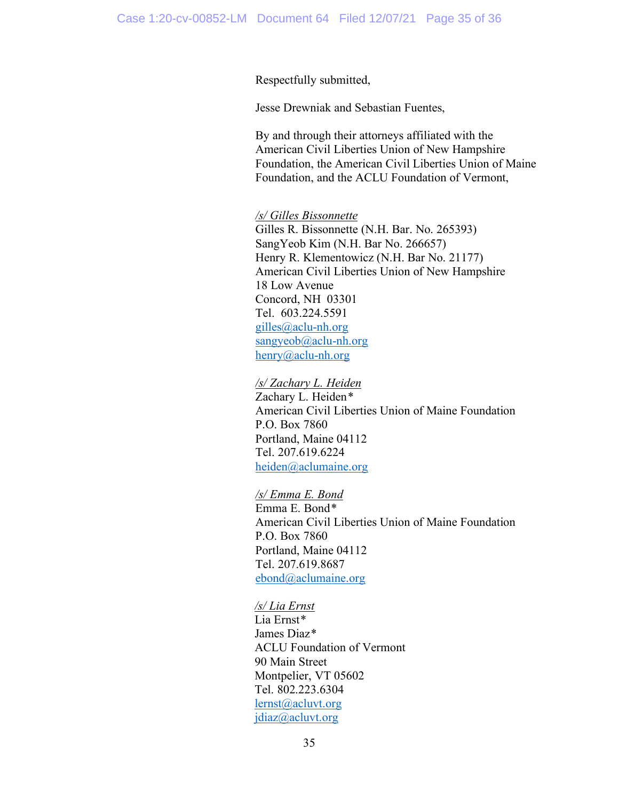### Respectfully submitted,

Jesse Drewniak and Sebastian Fuentes,

By and through their attorneys affiliated with the American Civil Liberties Union of New Hampshire Foundation, the American Civil Liberties Union of Maine Foundation, and the ACLU Foundation of Vermont,

### */s/ Gilles Bissonnette*

Gilles R. Bissonnette (N.H. Bar. No. 265393) SangYeob Kim (N.H. Bar No. 266657) Henry R. Klementowicz (N.H. Bar No. 21177) American Civil Liberties Union of New Hampshire 18 Low Avenue Concord, NH 03301 Tel. 603.224.5591 [gilles@aclu-nh.org](mailto:gilles@aclu-nh.org)  [sangyeob@aclu-nh.org](mailto:sangyeob@aclu-nh.org) [henry@aclu-nh.org](mailto:henry@aclu-nh.org)

# */s/ Zachary L. Heiden*

Zachary L. Heiden*\** American Civil Liberties Union of Maine Foundation P.O. Box 7860 Portland, Maine 04112 Tel. 207.619.6224 [heiden@aclumaine.org](mailto:heiden@aclumaine.org)

### */s/ Emma E. Bond*

Emma E. Bond*\** American Civil Liberties Union of Maine Foundation P.O. Box 7860 Portland, Maine 04112 Tel. 207.619.8687 [ebond@aclumaine.org](mailto:ebond@aclumaine.org)

#### */s/ Lia Ernst*

Lia Ernst*\** James Diaz*\** ACLU Foundation of Vermont 90 Main Street Montpelier, VT 05602 Tel. 802.223.6304 [lernst@acluvt.org](mailto:lernst@acluvt.org) [jdiaz@acluvt.org](mailto:jdiaz@acluvt.org)